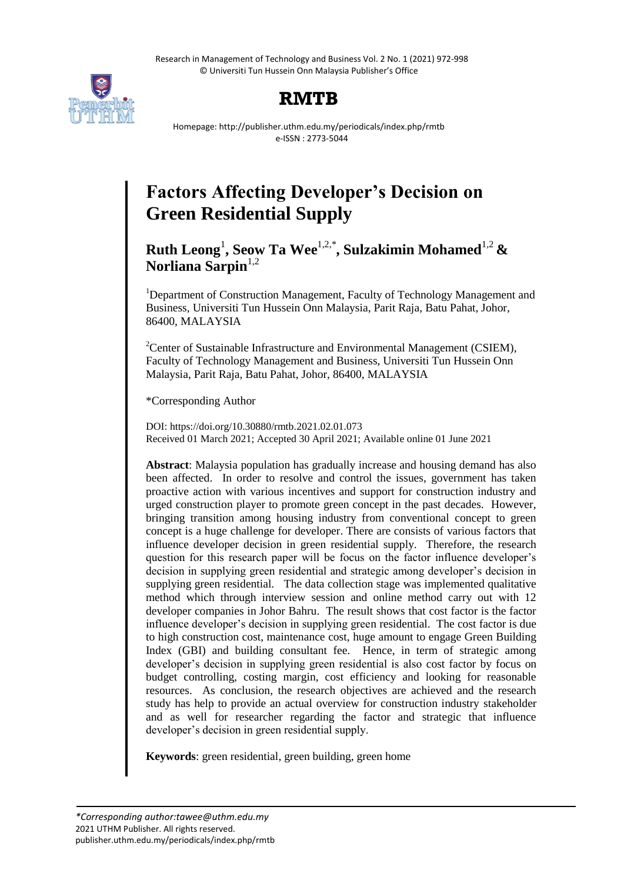Research in Management of Technology and Business Vol. 2 No. 1 (2021) 972-998 © Universiti Tun Hussein Onn Malaysia Publisher's Office



# **RMTB**

Homepage: http://publisher.uthm.edu.my/periodicals/index.php/rmtb e-ISSN : 2773-5044

# **Factors Affecting Developer's Decision on Green Residential Supply**

**Ruth Leong**<sup>1</sup> **, Seow Ta Wee**1,2,\***, Sulzakimin Mohamed**1,2 **&**  Norliana Sarpin<sup>1,2</sup>

<sup>1</sup>Department of Construction Management, Faculty of Technology Management and Business, Universiti Tun Hussein Onn Malaysia, Parit Raja, Batu Pahat, Johor, 86400, MALAYSIA

<sup>2</sup>Center of Sustainable Infrastructure and Environmental Management (CSIEM), Faculty of Technology Management and Business, Universiti Tun Hussein Onn Malaysia, Parit Raja, Batu Pahat, Johor, 86400, MALAYSIA

\*Corresponding Author

DOI: https://doi.org/10.30880/rmtb.2021.02.01.073 Received 01 March 2021; Accepted 30 April 2021; Available online 01 June 2021

**Abstract**: Malaysia population has gradually increase and housing demand has also been affected. In order to resolve and control the issues, government has taken proactive action with various incentives and support for construction industry and urged construction player to promote green concept in the past decades. However, bringing transition among housing industry from conventional concept to green concept is a huge challenge for developer. There are consists of various factors that influence developer decision in green residential supply. Therefore, the research question for this research paper will be focus on the factor influence developer"s decision in supplying green residential and strategic among developer"s decision in supplying green residential. The data collection stage was implemented qualitative method which through interview session and online method carry out with 12 developer companies in Johor Bahru. The result shows that cost factor is the factor influence developer"s decision in supplying green residential. The cost factor is due to high construction cost, maintenance cost, huge amount to engage Green Building Index (GBI) and building consultant fee. Hence, in term of strategic among developer's decision in supplying green residential is also cost factor by focus on budget controlling, costing margin, cost efficiency and looking for reasonable resources. As conclusion, the research objectives are achieved and the research study has help to provide an actual overview for construction industry stakeholder and as well for researcher regarding the factor and strategic that influence developer"s decision in green residential supply.

**Keywords**: green residential, green building, green home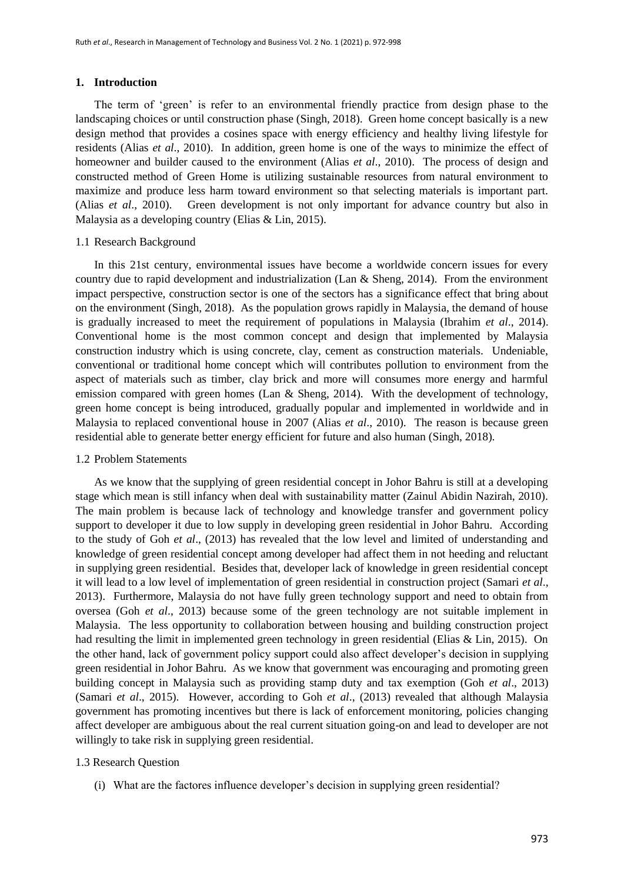#### **1. Introduction**

The term of "green" is refer to an environmental friendly practice from design phase to the landscaping choices or until construction phase (Singh, 2018). Green home concept basically is a new design method that provides a cosines space with energy efficiency and healthy living lifestyle for residents (Alias *et al*., 2010). In addition, green home is one of the ways to minimize the effect of homeowner and builder caused to the environment (Alias *et al*., 2010). The process of design and constructed method of Green Home is utilizing sustainable resources from natural environment to maximize and produce less harm toward environment so that selecting materials is important part. (Alias *et al*., 2010). Green development is not only important for advance country but also in Malaysia as a developing country (Elias & Lin, 2015).

#### 1.1 Research Background

In this 21st century, environmental issues have become a worldwide concern issues for every country due to rapid development and industrialization (Lan & Sheng, 2014). From the environment impact perspective, construction sector is one of the sectors has a significance effect that bring about on the environment (Singh, 2018). As the population grows rapidly in Malaysia, the demand of house is gradually increased to meet the requirement of populations in Malaysia (Ibrahim *et al*., 2014). Conventional home is the most common concept and design that implemented by Malaysia construction industry which is using concrete, clay, cement as construction materials. Undeniable, conventional or traditional home concept which will contributes pollution to environment from the aspect of materials such as timber, clay brick and more will consumes more energy and harmful emission compared with green homes (Lan & Sheng, 2014). With the development of technology, green home concept is being introduced, gradually popular and implemented in worldwide and in Malaysia to replaced conventional house in 2007 (Alias *et al*., 2010). The reason is because green residential able to generate better energy efficient for future and also human (Singh, 2018).

#### 1.2 Problem Statements

As we know that the supplying of green residential concept in Johor Bahru is still at a developing stage which mean is still infancy when deal with sustainability matter (Zainul Abidin Nazirah, 2010). The main problem is because lack of technology and knowledge transfer and government policy support to developer it due to low supply in developing green residential in Johor Bahru. According to the study of Goh *et al*., (2013) has revealed that the low level and limited of understanding and knowledge of green residential concept among developer had affect them in not heeding and reluctant in supplying green residential. Besides that, developer lack of knowledge in green residential concept it will lead to a low level of implementation of green residential in construction project (Samari *et al*., 2013). Furthermore, Malaysia do not have fully green technology support and need to obtain from oversea (Goh *et al*., 2013) because some of the green technology are not suitable implement in Malaysia. The less opportunity to collaboration between housing and building construction project had resulting the limit in implemented green technology in green residential (Elias & Lin, 2015). On the other hand, lack of government policy support could also affect developer"s decision in supplying green residential in Johor Bahru. As we know that government was encouraging and promoting green building concept in Malaysia such as providing stamp duty and tax exemption (Goh *et al*., 2013) (Samari *et al*., 2015). However, according to Goh *et al*., (2013) revealed that although Malaysia government has promoting incentives but there is lack of enforcement monitoring, policies changing affect developer are ambiguous about the real current situation going-on and lead to developer are not willingly to take risk in supplying green residential.

## 1.3 Research Question

(i) What are the factores influence developer"s decision in supplying green residential?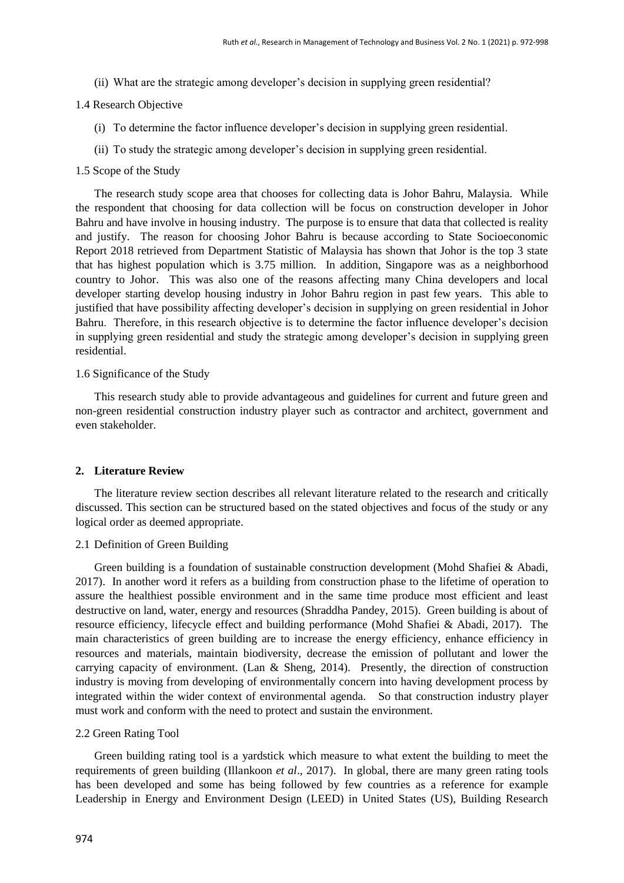(ii) What are the strategic among developer"s decision in supplying green residential?

#### 1.4 Research Objective

- (i) To determine the factor influence developer"s decision in supplying green residential.
- (ii) To study the strategic among developer"s decision in supplying green residential.

#### 1.5 Scope of the Study

The research study scope area that chooses for collecting data is Johor Bahru, Malaysia. While the respondent that choosing for data collection will be focus on construction developer in Johor Bahru and have involve in housing industry. The purpose is to ensure that data that collected is reality and justify. The reason for choosing Johor Bahru is because according to State Socioeconomic Report 2018 retrieved from Department Statistic of Malaysia has shown that Johor is the top 3 state that has highest population which is 3.75 million. In addition, Singapore was as a neighborhood country to Johor. This was also one of the reasons affecting many China developers and local developer starting develop housing industry in Johor Bahru region in past few years. This able to justified that have possibility affecting developer"s decision in supplying on green residential in Johor Bahru. Therefore, in this research objective is to determine the factor influence developer"s decision in supplying green residential and study the strategic among developer's decision in supplying green residential.

#### 1.6 Significance of the Study

This research study able to provide advantageous and guidelines for current and future green and non-green residential construction industry player such as contractor and architect, government and even stakeholder.

#### **2. Literature Review**

The literature review section describes all relevant literature related to the research and critically discussed. This section can be structured based on the stated objectives and focus of the study or any logical order as deemed appropriate.

#### 2.1 Definition of Green Building

Green building is a foundation of sustainable construction development (Mohd Shafiei & Abadi, 2017). In another word it refers as a building from construction phase to the lifetime of operation to assure the healthiest possible environment and in the same time produce most efficient and least destructive on land, water, energy and resources (Shraddha Pandey, 2015). Green building is about of resource efficiency, lifecycle effect and building performance (Mohd Shafiei & Abadi, 2017). The main characteristics of green building are to increase the energy efficiency, enhance efficiency in resources and materials, maintain biodiversity, decrease the emission of pollutant and lower the carrying capacity of environment. (Lan & Sheng, 2014). Presently, the direction of construction industry is moving from developing of environmentally concern into having development process by integrated within the wider context of environmental agenda. So that construction industry player must work and conform with the need to protect and sustain the environment.

#### 2.2 Green Rating Tool

Green building rating tool is a yardstick which measure to what extent the building to meet the requirements of green building (Illankoon *et al*., 2017). In global, there are many green rating tools has been developed and some has being followed by few countries as a reference for example Leadership in Energy and Environment Design (LEED) in United States (US), Building Research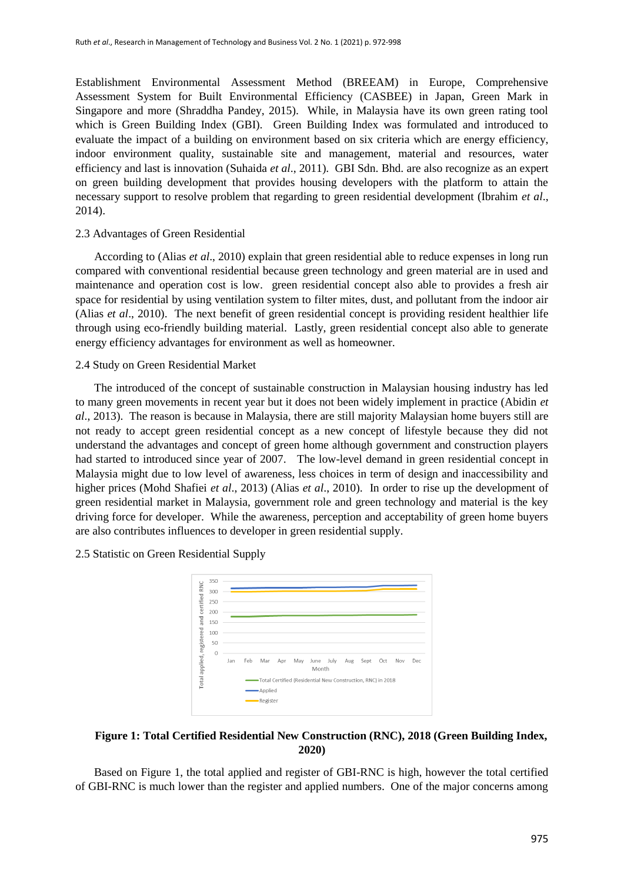Establishment Environmental Assessment Method (BREEAM) in Europe, Comprehensive Assessment System for Built Environmental Efficiency (CASBEE) in Japan, Green Mark in Singapore and more (Shraddha Pandey, 2015). While, in Malaysia have its own green rating tool which is Green Building Index (GBI). Green Building Index was formulated and introduced to evaluate the impact of a building on environment based on six criteria which are energy efficiency, indoor environment quality, sustainable site and management, material and resources, water efficiency and last is innovation (Suhaida *et al*., 2011). GBI Sdn. Bhd. are also recognize as an expert on green building development that provides housing developers with the platform to attain the necessary support to resolve problem that regarding to green residential development (Ibrahim *et al*., 2014).

## 2.3 Advantages of Green Residential

According to (Alias *et al*., 2010) explain that green residential able to reduce expenses in long run compared with conventional residential because green technology and green material are in used and maintenance and operation cost is low. green residential concept also able to provides a fresh air space for residential by using ventilation system to filter mites, dust, and pollutant from the indoor air (Alias *et al*., 2010). The next benefit of green residential concept is providing resident healthier life through using eco-friendly building material. Lastly, green residential concept also able to generate energy efficiency advantages for environment as well as homeowner.

#### 2.4 Study on Green Residential Market

The introduced of the concept of sustainable construction in Malaysian housing industry has led to many green movements in recent year but it does not been widely implement in practice (Abidin *et al*., 2013). The reason is because in Malaysia, there are still majority Malaysian home buyers still are not ready to accept green residential concept as a new concept of lifestyle because they did not understand the advantages and concept of green home although government and construction players had started to introduced since year of 2007. The low-level demand in green residential concept in Malaysia might due to low level of awareness, less choices in term of design and inaccessibility and higher prices (Mohd Shafiei *et al*., 2013) (Alias *et al*., 2010). In order to rise up the development of green residential market in Malaysia, government role and green technology and material is the key driving force for developer. While the awareness, perception and acceptability of green home buyers are also contributes influences to developer in green residential supply.

2.5 Statistic on Green Residential Supply



## **Figure 1: Total Certified Residential New Construction (RNC), 2018 (Green Building Index, 2020)**

Based on Figure 1, the total applied and register of GBI-RNC is high, however the total certified of GBI-RNC is much lower than the register and applied numbers. One of the major concerns among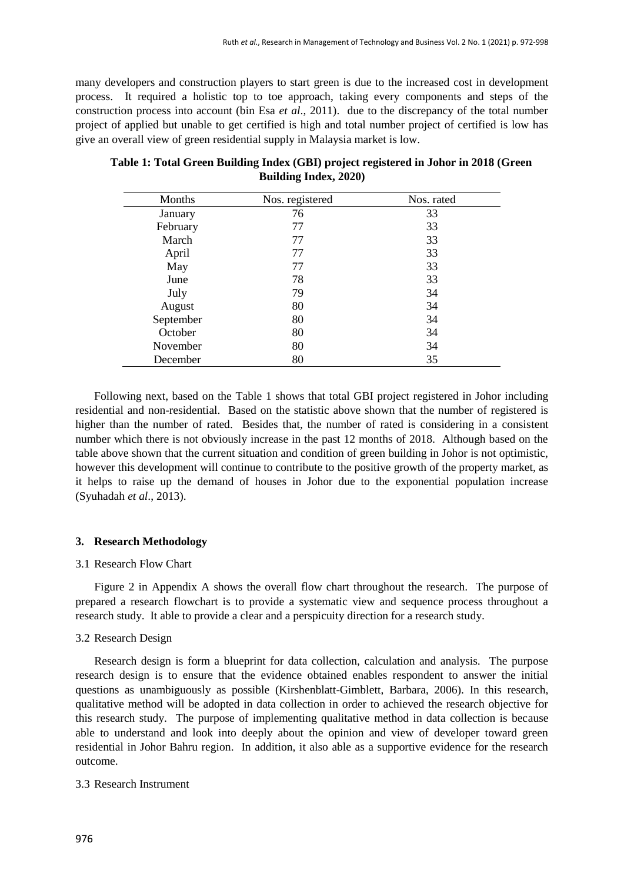many developers and construction players to start green is due to the increased cost in development process. It required a holistic top to toe approach, taking every components and steps of the construction process into account (bin Esa *et al*., 2011). due to the discrepancy of the total number project of applied but unable to get certified is high and total number project of certified is low has give an overall view of green residential supply in Malaysia market is low.

| Months    | Nos. registered | Nos. rated |
|-----------|-----------------|------------|
| January   | 76              | 33         |
| February  | 77              | 33         |
| March     | 77              | 33         |
| April     | 77              | 33         |
| May       | 77              | 33         |
| June      | 78              | 33         |
| July      | 79              | 34         |
| August    | 80              | 34         |
| September | 80              | 34         |
| October   | 80              | 34         |
| November  | 80              | 34         |
| December  | 80              | 35         |

| Table 1: Total Green Building Index (GBI) project registered in Johor in 2018 (Green |
|--------------------------------------------------------------------------------------|
| <b>Building Index, 2020)</b>                                                         |

Following next, based on the Table 1 shows that total GBI project registered in Johor including residential and non-residential. Based on the statistic above shown that the number of registered is higher than the number of rated. Besides that, the number of rated is considering in a consistent number which there is not obviously increase in the past 12 months of 2018. Although based on the table above shown that the current situation and condition of green building in Johor is not optimistic, however this development will continue to contribute to the positive growth of the property market, as it helps to raise up the demand of houses in Johor due to the exponential population increase (Syuhadah *et al*., 2013).

## **3. Research Methodology**

#### 3.1 Research Flow Chart

Figure 2 in Appendix A shows the overall flow chart throughout the research. The purpose of prepared a research flowchart is to provide a systematic view and sequence process throughout a research study. It able to provide a clear and a perspicuity direction for a research study.

## 3.2 Research Design

Research design is form a blueprint for data collection, calculation and analysis. The purpose research design is to ensure that the evidence obtained enables respondent to answer the initial questions as unambiguously as possible (Kirshenblatt-Gimblett, Barbara, 2006). In this research, qualitative method will be adopted in data collection in order to achieved the research objective for this research study. The purpose of implementing qualitative method in data collection is because able to understand and look into deeply about the opinion and view of developer toward green residential in Johor Bahru region. In addition, it also able as a supportive evidence for the research outcome.

#### 3.3 Research Instrument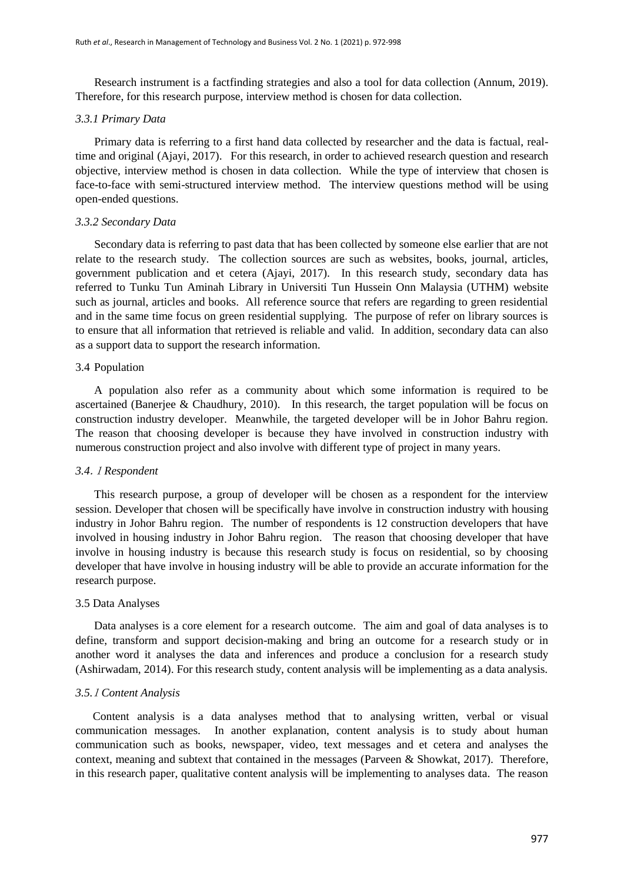Research instrument is a factfinding strategies and also a tool for data collection (Annum, 2019). Therefore, for this research purpose, interview method is chosen for data collection.

#### *3.3.1 Primary Data*

Primary data is referring to a first hand data collected by researcher and the data is factual, realtime and original (Ajayi, 2017). For this research, in order to achieved research question and research objective, interview method is chosen in data collection. While the type of interview that chosen is face-to-face with semi-structured interview method. The interview questions method will be using open-ended questions.

#### *3.3.2 Secondary Data*

Secondary data is referring to past data that has been collected by someone else earlier that are not relate to the research study. The collection sources are such as websites, books, journal, articles, government publication and et cetera (Ajayi, 2017). In this research study, secondary data has referred to Tunku Tun Aminah Library in Universiti Tun Hussein Onn Malaysia (UTHM) website such as journal, articles and books. All reference source that refers are regarding to green residential and in the same time focus on green residential supplying. The purpose of refer on library sources is to ensure that all information that retrieved is reliable and valid. In addition, secondary data can also as a support data to support the research information.

#### 3.4 Population

A population also refer as a community about which some information is required to be ascertained (Banerjee & Chaudhury, 2010). In this research, the target population will be focus on construction industry developer. Meanwhile, the targeted developer will be in Johor Bahru region. The reason that choosing developer is because they have involved in construction industry with numerous construction project and also involve with different type of project in many years.

#### *3.4*.1 *Respondent*

This research purpose, a group of developer will be chosen as a respondent for the interview session. Developer that chosen will be specifically have involve in construction industry with housing industry in Johor Bahru region. The number of respondents is 12 construction developers that have involved in housing industry in Johor Bahru region. The reason that choosing developer that have involve in housing industry is because this research study is focus on residential, so by choosing developer that have involve in housing industry will be able to provide an accurate information for the research purpose.

#### 3.5 Data Analyses

Data analyses is a core element for a research outcome. The aim and goal of data analyses is to define, transform and support decision-making and bring an outcome for a research study or in another word it analyses the data and inferences and produce a conclusion for a research study (Ashirwadam, 2014). For this research study, content analysis will be implementing as a data analysis.

#### *3.5.*<sup>1</sup> *Content Analysis*

 Content analysis is a data analyses method that to analysing written, verbal or visual communication messages. In another explanation, content analysis is to study about human communication such as books, newspaper, video, text messages and et cetera and analyses the context, meaning and subtext that contained in the messages (Parveen & Showkat, 2017). Therefore, in this research paper, qualitative content analysis will be implementing to analyses data. The reason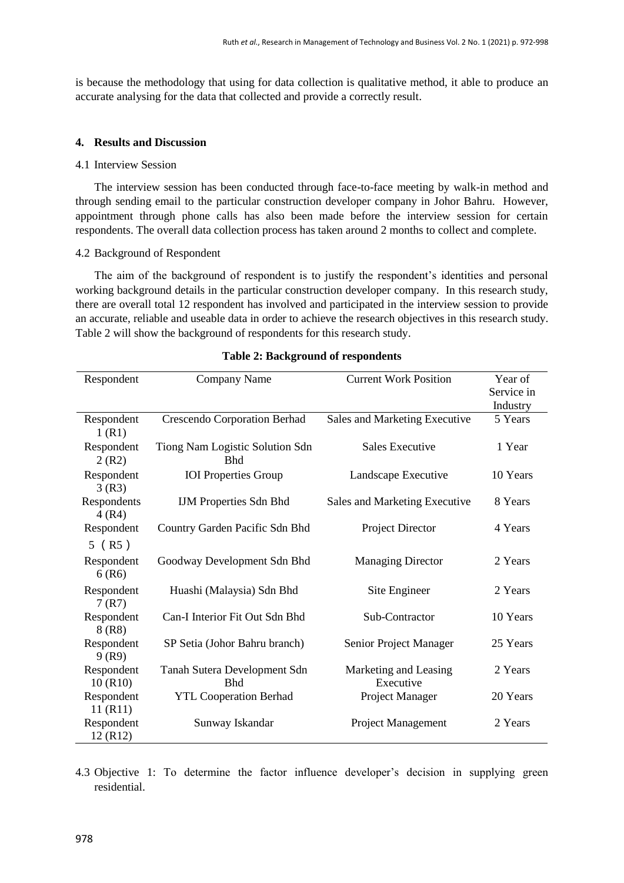is because the methodology that using for data collection is qualitative method, it able to produce an accurate analysing for the data that collected and provide a correctly result.

#### **4. Results and Discussion**

#### 4.1 Interview Session

The interview session has been conducted through face-to-face meeting by walk-in method and through sending email to the particular construction developer company in Johor Bahru. However, appointment through phone calls has also been made before the interview session for certain respondents. The overall data collection process has taken around 2 months to collect and complete.

#### 4.2 Background of Respondent

The aim of the background of respondent is to justify the respondent"s identities and personal working background details in the particular construction developer company. In this research study, there are overall total 12 respondent has involved and participated in the interview session to provide an accurate, reliable and useable data in order to achieve the research objectives in this research study. Table 2 will show the background of respondents for this research study.

| Respondent                      | Company Name                                  | <b>Current Work Position</b>       | Year of<br>Service in<br>Industry |
|---------------------------------|-----------------------------------------------|------------------------------------|-----------------------------------|
| Respondent<br>1(R1)             | Crescendo Corporation Berhad                  | Sales and Marketing Executive      | 5 Years                           |
| Respondent<br>2(R2)             | Tiong Nam Logistic Solution Sdn<br><b>Bhd</b> | Sales Executive                    | 1 Year                            |
| Respondent<br>3(R3)             | <b>IOI</b> Properties Group                   | Landscape Executive                | 10 Years                          |
| Respondents<br>4(R4)            | <b>IJM Properties Sdn Bhd</b>                 | Sales and Marketing Executive      | 8 Years                           |
| Respondent                      | Country Garden Pacific Sdn Bhd                | Project Director                   | 4 Years                           |
| $5$ (R5)<br>Respondent<br>6(R6) | Goodway Development Sdn Bhd                   | <b>Managing Director</b>           | 2 Years                           |
| Respondent<br>7(R7)             | Huashi (Malaysia) Sdn Bhd                     | Site Engineer                      | 2 Years                           |
| Respondent<br>8(R8)             | Can-I Interior Fit Out Sdn Bhd                | Sub-Contractor                     | 10 Years                          |
| Respondent<br>9(R9)             | SP Setia (Johor Bahru branch)                 | Senior Project Manager             | 25 Years                          |
| Respondent<br>10(R10)           | Tanah Sutera Development Sdn<br><b>Bhd</b>    | Marketing and Leasing<br>Executive | 2 Years                           |
| Respondent<br>11 (R11)          | <b>YTL Cooperation Berhad</b>                 | Project Manager                    | 20 Years                          |
| Respondent<br>12 (R12)          | Sunway Iskandar                               | Project Management                 | 2 Years                           |

#### **Table 2: Background of respondents**

4.3 Objective 1: To determine the factor influence developer's decision in supplying green residential.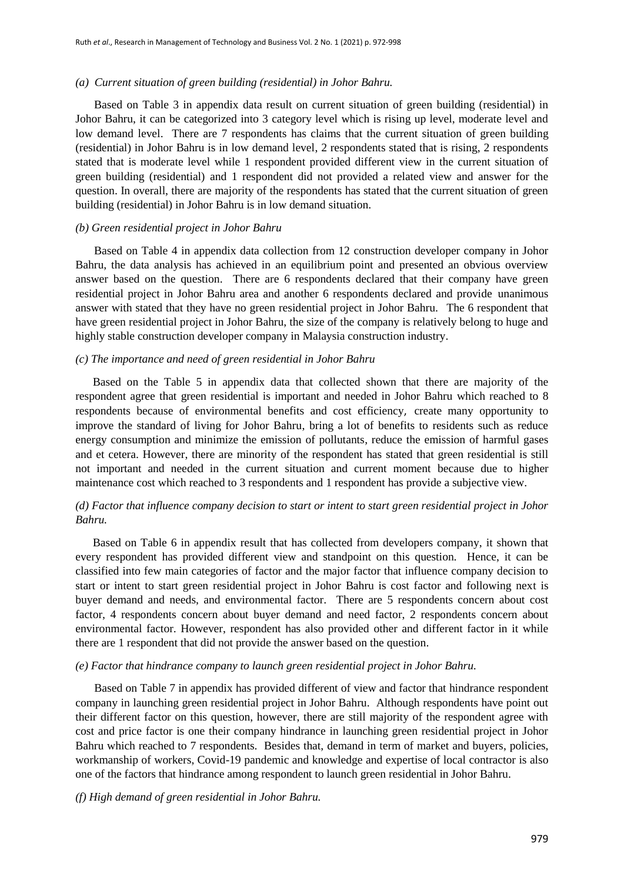#### *(a) Current situation of green building (residential) in Johor Bahru.*

Based on Table 3 in appendix data result on current situation of green building (residential) in Johor Bahru, it can be categorized into 3 category level which is rising up level, moderate level and low demand level. There are 7 respondents has claims that the current situation of green building (residential) in Johor Bahru is in low demand level, 2 respondents stated that is rising, 2 respondents stated that is moderate level while 1 respondent provided different view in the current situation of green building (residential) and 1 respondent did not provided a related view and answer for the question. In overall, there are majority of the respondents has stated that the current situation of green building (residential) in Johor Bahru is in low demand situation.

#### *(b) Green residential project in Johor Bahru*

Based on Table 4 in appendix data collection from 12 construction developer company in Johor Bahru, the data analysis has achieved in an equilibrium point and presented an obvious overview answer based on the question. There are 6 respondents declared that their company have green residential project in Johor Bahru area and another 6 respondents declared and provide unanimous answer with stated that they have no green residential project in Johor Bahru. The 6 respondent that have green residential project in Johor Bahru, the size of the company is relatively belong to huge and highly stable construction developer company in Malaysia construction industry.

#### *(c) The importance and need of green residential in Johor Bahru*

 Based on the Table 5 in appendix data that collected shown that there are majority of the respondent agree that green residential is important and needed in Johor Bahru which reached to 8 respondents because of environmental benefits and cost efficiency, create many opportunity to improve the standard of living for Johor Bahru, bring a lot of benefits to residents such as reduce energy consumption and minimize the emission of pollutants, reduce the emission of harmful gases and et cetera. However, there are minority of the respondent has stated that green residential is still not important and needed in the current situation and current moment because due to higher maintenance cost which reached to 3 respondents and 1 respondent has provide a subjective view.

## *(d) Factor that influence company decision to start or intent to start green residential project in Johor Bahru.*

 Based on Table 6 in appendix result that has collected from developers company, it shown that every respondent has provided different view and standpoint on this question. Hence, it can be classified into few main categories of factor and the major factor that influence company decision to start or intent to start green residential project in Johor Bahru is cost factor and following next is buyer demand and needs, and environmental factor. There are 5 respondents concern about cost factor, 4 respondents concern about buyer demand and need factor, 2 respondents concern about environmental factor. However, respondent has also provided other and different factor in it while there are 1 respondent that did not provide the answer based on the question.

#### *(e) Factor that hindrance company to launch green residential project in Johor Bahru.*

Based on Table 7 in appendix has provided different of view and factor that hindrance respondent company in launching green residential project in Johor Bahru. Although respondents have point out their different factor on this question, however, there are still majority of the respondent agree with cost and price factor is one their company hindrance in launching green residential project in Johor Bahru which reached to 7 respondents. Besides that, demand in term of market and buyers, policies, workmanship of workers, Covid-19 pandemic and knowledge and expertise of local contractor is also one of the factors that hindrance among respondent to launch green residential in Johor Bahru.

*(f) High demand of green residential in Johor Bahru.*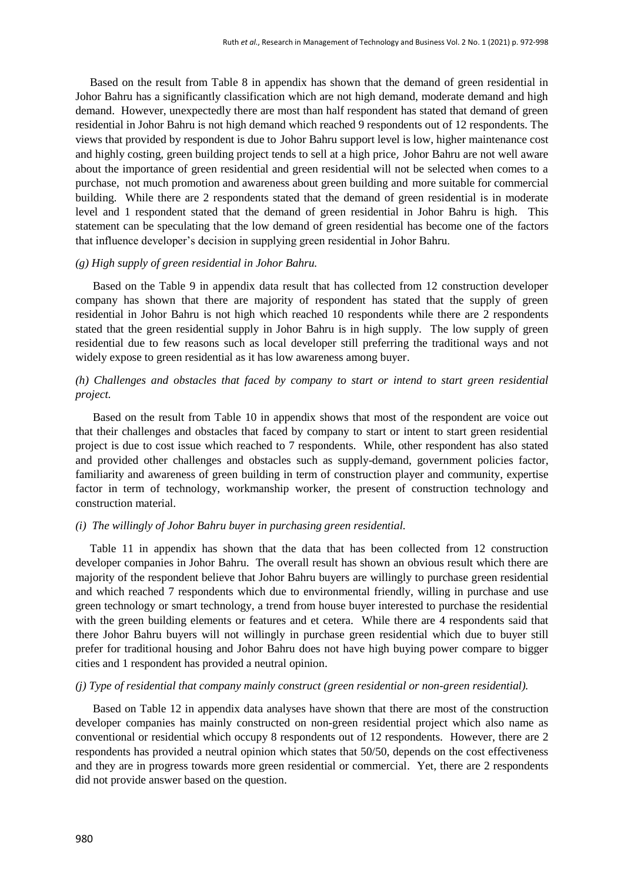Based on the result from Table 8 in appendix has shown that the demand of green residential in Johor Bahru has a significantly classification which are not high demand, moderate demand and high demand. However, unexpectedly there are most than half respondent has stated that demand of green residential in Johor Bahru is not high demand which reached 9 respondents out of 12 respondents. The views that provided by respondent is due to Johor Bahru support level is low, higher maintenance cost and highly costing, green building project tends to sell at a high price, Johor Bahru are not well aware about the importance of green residential and green residential will not be selected when comes to a purchase, not much promotion and awareness about green building and more suitable for commercial building. While there are 2 respondents stated that the demand of green residential is in moderate level and 1 respondent stated that the demand of green residential in Johor Bahru is high. This statement can be speculating that the low demand of green residential has become one of the factors that influence developer"s decision in supplying green residential in Johor Bahru.

#### *(g) High supply of green residential in Johor Bahru.*

 Based on the Table 9 in appendix data result that has collected from 12 construction developer company has shown that there are majority of respondent has stated that the supply of green residential in Johor Bahru is not high which reached 10 respondents while there are 2 respondents stated that the green residential supply in Johor Bahru is in high supply. The low supply of green residential due to few reasons such as local developer still preferring the traditional ways and not widely expose to green residential as it has low awareness among buyer.

## *(h) Challenges and obstacles that faced by company to start or intend to start green residential project.*

Based on the result from Table 10 in appendix shows that most of the respondent are voice out that their challenges and obstacles that faced by company to start or intent to start green residential project is due to cost issue which reached to 7 respondents. While, other respondent has also stated and provided other challenges and obstacles such as supply-demand, government policies factor, familiarity and awareness of green building in term of construction player and community, expertise factor in term of technology, workmanship worker, the present of construction technology and construction material.

#### *(i) The willingly of Johor Bahru buyer in purchasing green residential.*

 Table 11 in appendix has shown that the data that has been collected from 12 construction developer companies in Johor Bahru. The overall result has shown an obvious result which there are majority of the respondent believe that Johor Bahru buyers are willingly to purchase green residential and which reached 7 respondents which due to environmental friendly, willing in purchase and use green technology or smart technology, a trend from house buyer interested to purchase the residential with the green building elements or features and et cetera. While there are 4 respondents said that there Johor Bahru buyers will not willingly in purchase green residential which due to buyer still prefer for traditional housing and Johor Bahru does not have high buying power compare to bigger cities and 1 respondent has provided a neutral opinion.

#### *(j) Type of residential that company mainly construct (green residential or non-green residential).*

 Based on Table 12 in appendix data analyses have shown that there are most of the construction developer companies has mainly constructed on non-green residential project which also name as conventional or residential which occupy 8 respondents out of 12 respondents. However, there are 2 respondents has provided a neutral opinion which states that 50/50, depends on the cost effectiveness and they are in progress towards more green residential or commercial. Yet, there are 2 respondents did not provide answer based on the question.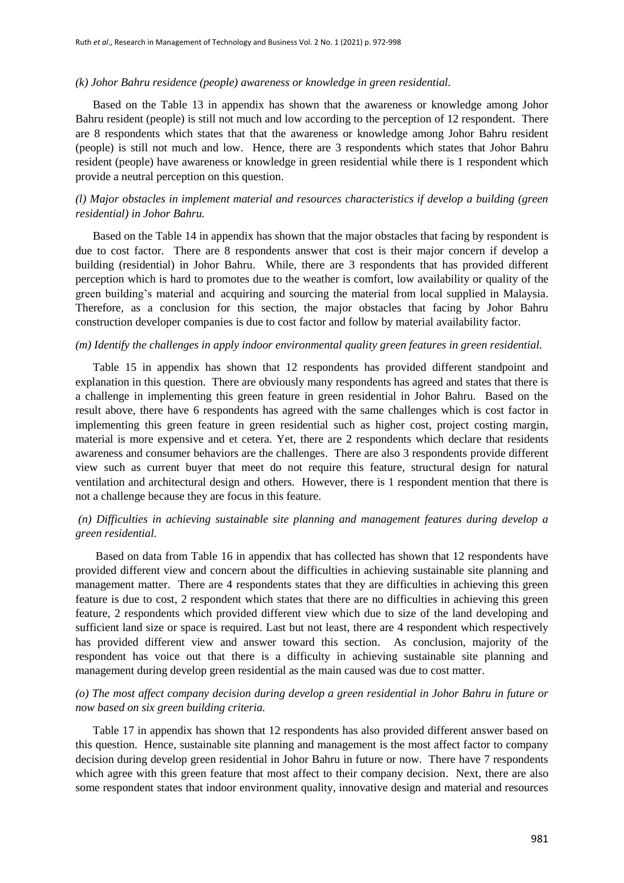#### *(k) Johor Bahru residence (people) awareness or knowledge in green residential.*

 Based on the Table 13 in appendix has shown that the awareness or knowledge among Johor Bahru resident (people) is still not much and low according to the perception of 12 respondent. There are 8 respondents which states that that the awareness or knowledge among Johor Bahru resident (people) is still not much and low. Hence, there are 3 respondents which states that Johor Bahru resident (people) have awareness or knowledge in green residential while there is 1 respondent which provide a neutral perception on this question.

## *(l) Major obstacles in implement material and resources characteristics if develop a building (green residential) in Johor Bahru.*

 Based on the Table 14 in appendix has shown that the major obstacles that facing by respondent is due to cost factor. There are 8 respondents answer that cost is their major concern if develop a building (residential) in Johor Bahru. While, there are 3 respondents that has provided different perception which is hard to promotes due to the weather is comfort, low availability or quality of the green building"s material and acquiring and sourcing the material from local supplied in Malaysia. Therefore, as a conclusion for this section, the major obstacles that facing by Johor Bahru construction developer companies is due to cost factor and follow by material availability factor.

#### *(m) Identify the challenges in apply indoor environmental quality green features in green residential.*

 Table 15 in appendix has shown that 12 respondents has provided different standpoint and explanation in this question. There are obviously many respondents has agreed and states that there is a challenge in implementing this green feature in green residential in Johor Bahru. Based on the result above, there have 6 respondents has agreed with the same challenges which is cost factor in implementing this green feature in green residential such as higher cost, project costing margin, material is more expensive and et cetera. Yet, there are 2 respondents which declare that residents awareness and consumer behaviors are the challenges. There are also 3 respondents provide different view such as current buyer that meet do not require this feature, structural design for natural ventilation and architectural design and others. However, there is 1 respondent mention that there is not a challenge because they are focus in this feature.

#### *(n) Difficulties in achieving sustainable site planning and management features during develop a green residential.*

 Based on data from Table 16 in appendix that has collected has shown that 12 respondents have provided different view and concern about the difficulties in achieving sustainable site planning and management matter. There are 4 respondents states that they are difficulties in achieving this green feature is due to cost, 2 respondent which states that there are no difficulties in achieving this green feature, 2 respondents which provided different view which due to size of the land developing and sufficient land size or space is required. Last but not least, there are 4 respondent which respectively has provided different view and answer toward this section. As conclusion, majority of the respondent has voice out that there is a difficulty in achieving sustainable site planning and management during develop green residential as the main caused was due to cost matter.

## *(o) The most affect company decision during develop a green residential in Johor Bahru in future or now based on six green building criteria.*

 Table 17 in appendix has shown that 12 respondents has also provided different answer based on this question. Hence, sustainable site planning and management is the most affect factor to company decision during develop green residential in Johor Bahru in future or now. There have 7 respondents which agree with this green feature that most affect to their company decision. Next, there are also some respondent states that indoor environment quality, innovative design and material and resources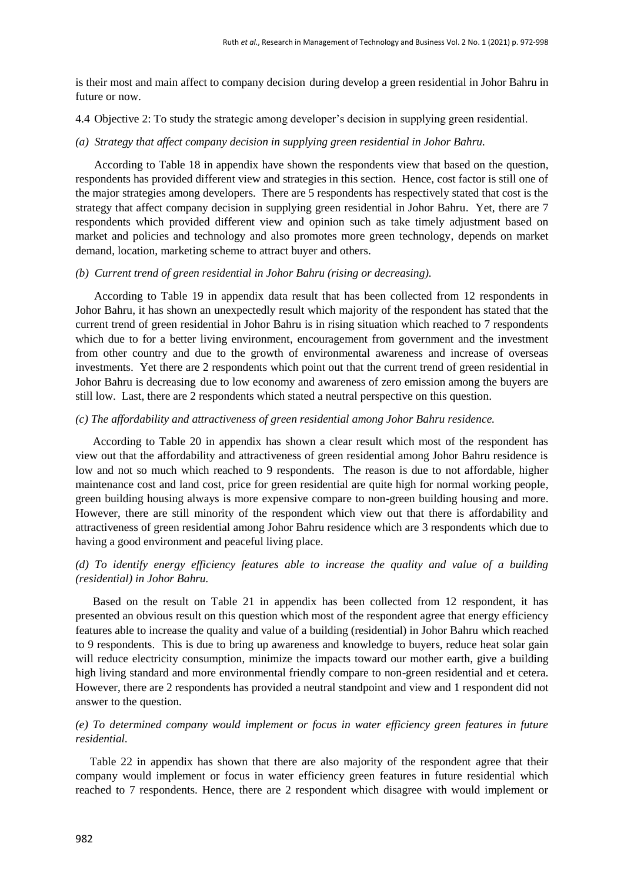is their most and main affect to company decision during develop a green residential in Johor Bahru in future or now.

4.4 Objective 2: To study the strategic among developer"s decision in supplying green residential.

#### *(a) Strategy that affect company decision in supplying green residential in Johor Bahru.*

According to Table 18 in appendix have shown the respondents view that based on the question, respondents has provided different view and strategies in this section. Hence, cost factor is still one of the major strategies among developers. There are 5 respondents has respectively stated that cost is the strategy that affect company decision in supplying green residential in Johor Bahru. Yet, there are 7 respondents which provided different view and opinion such as take timely adjustment based on market and policies and technology and also promotes more green technology, depends on market demand, location, marketing scheme to attract buyer and others.

#### *(b) Current trend of green residential in Johor Bahru (rising or decreasing).*

According to Table 19 in appendix data result that has been collected from 12 respondents in Johor Bahru, it has shown an unexpectedly result which majority of the respondent has stated that the current trend of green residential in Johor Bahru is in rising situation which reached to 7 respondents which due to for a better living environment, encouragement from government and the investment from other country and due to the growth of environmental awareness and increase of overseas investments. Yet there are 2 respondents which point out that the current trend of green residential in Johor Bahru is decreasing due to low economy and awareness of zero emission among the buyers are still low. Last, there are 2 respondents which stated a neutral perspective on this question.

## *(c) The affordability and attractiveness of green residential among Johor Bahru residence.*

 According to Table 20 in appendix has shown a clear result which most of the respondent has view out that the affordability and attractiveness of green residential among Johor Bahru residence is low and not so much which reached to 9 respondents. The reason is due to not affordable, higher maintenance cost and land cost, price for green residential are quite high for normal working people, green building housing always is more expensive compare to non-green building housing and more. However, there are still minority of the respondent which view out that there is affordability and attractiveness of green residential among Johor Bahru residence which are 3 respondents which due to having a good environment and peaceful living place.

## *(d) To identify energy efficiency features able to increase the quality and value of a building (residential) in Johor Bahru.*

 Based on the result on Table 21 in appendix has been collected from 12 respondent, it has presented an obvious result on this question which most of the respondent agree that energy efficiency features able to increase the quality and value of a building (residential) in Johor Bahru which reached to 9 respondents. This is due to bring up awareness and knowledge to buyers, reduce heat solar gain will reduce electricity consumption, minimize the impacts toward our mother earth, give a building high living standard and more environmental friendly compare to non-green residential and et cetera. However, there are 2 respondents has provided a neutral standpoint and view and 1 respondent did not answer to the question.

## *(e) To determined company would implement or focus in water efficiency green features in future residential.*

 Table 22 in appendix has shown that there are also majority of the respondent agree that their company would implement or focus in water efficiency green features in future residential which reached to 7 respondents. Hence, there are 2 respondent which disagree with would implement or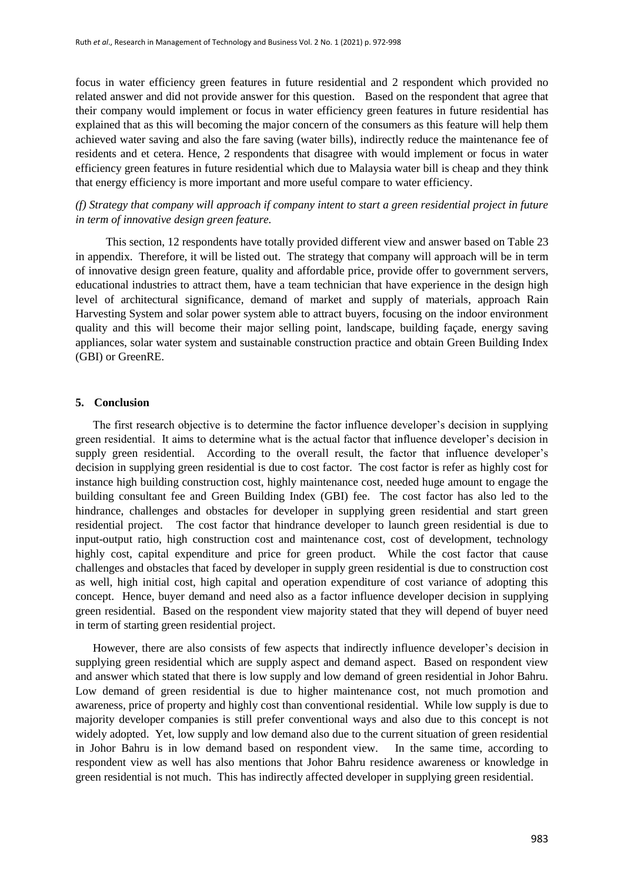focus in water efficiency green features in future residential and 2 respondent which provided no related answer and did not provide answer for this question. Based on the respondent that agree that their company would implement or focus in water efficiency green features in future residential has explained that as this will becoming the major concern of the consumers as this feature will help them achieved water saving and also the fare saving (water bills), indirectly reduce the maintenance fee of residents and et cetera. Hence, 2 respondents that disagree with would implement or focus in water efficiency green features in future residential which due to Malaysia water bill is cheap and they think that energy efficiency is more important and more useful compare to water efficiency.

## *(f) Strategy that company will approach if company intent to start a green residential project in future in term of innovative design green feature.*

 This section, 12 respondents have totally provided different view and answer based on Table 23 in appendix. Therefore, it will be listed out. The strategy that company will approach will be in term of innovative design green feature, quality and affordable price, provide offer to government servers, educational industries to attract them, have a team technician that have experience in the design high level of architectural significance, demand of market and supply of materials, approach Rain Harvesting System and solar power system able to attract buyers, focusing on the indoor environment quality and this will become their major selling point, landscape, building façade, energy saving appliances, solar water system and sustainable construction practice and obtain Green Building Index (GBI) or GreenRE.

#### **5. Conclusion**

The first research objective is to determine the factor influence developer's decision in supplying green residential. It aims to determine what is the actual factor that influence developer"s decision in supply green residential. According to the overall result, the factor that influence developer's decision in supplying green residential is due to cost factor. The cost factor is refer as highly cost for instance high building construction cost, highly maintenance cost, needed huge amount to engage the building consultant fee and Green Building Index (GBI) fee. The cost factor has also led to the hindrance, challenges and obstacles for developer in supplying green residential and start green residential project. The cost factor that hindrance developer to launch green residential is due to input-output ratio, high construction cost and maintenance cost, cost of development, technology highly cost, capital expenditure and price for green product. While the cost factor that cause challenges and obstacles that faced by developer in supply green residential is due to construction cost as well, high initial cost, high capital and operation expenditure of cost variance of adopting this concept. Hence, buyer demand and need also as a factor influence developer decision in supplying green residential. Based on the respondent view majority stated that they will depend of buyer need in term of starting green residential project.

 However, there are also consists of few aspects that indirectly influence developer"s decision in supplying green residential which are supply aspect and demand aspect. Based on respondent view and answer which stated that there is low supply and low demand of green residential in Johor Bahru. Low demand of green residential is due to higher maintenance cost, not much promotion and awareness, price of property and highly cost than conventional residential. While low supply is due to majority developer companies is still prefer conventional ways and also due to this concept is not widely adopted. Yet, low supply and low demand also due to the current situation of green residential in Johor Bahru is in low demand based on respondent view. In the same time, according to respondent view as well has also mentions that Johor Bahru residence awareness or knowledge in green residential is not much. This has indirectly affected developer in supplying green residential.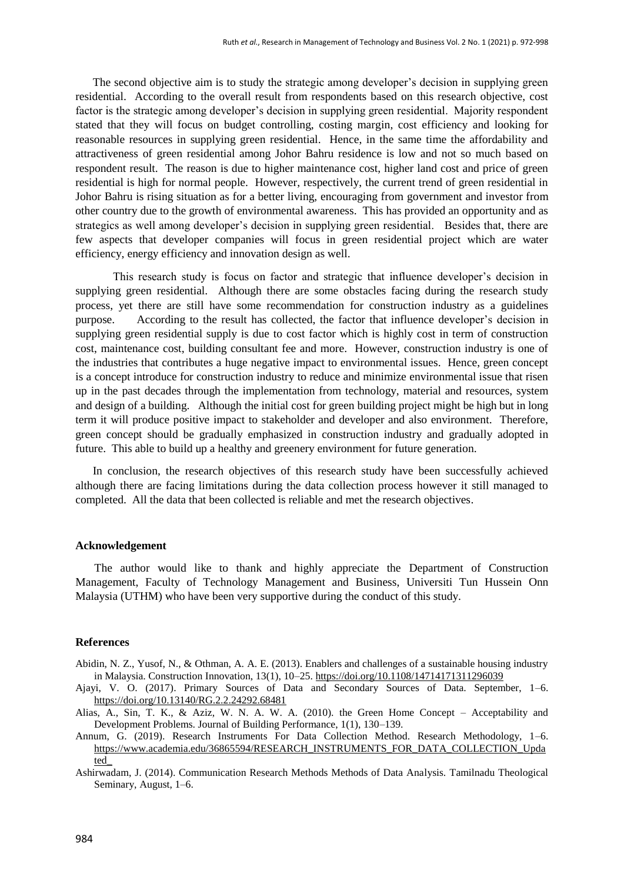The second objective aim is to study the strategic among developer"s decision in supplying green residential. According to the overall result from respondents based on this research objective, cost factor is the strategic among developer"s decision in supplying green residential. Majority respondent stated that they will focus on budget controlling, costing margin, cost efficiency and looking for reasonable resources in supplying green residential. Hence, in the same time the affordability and attractiveness of green residential among Johor Bahru residence is low and not so much based on respondent result. The reason is due to higher maintenance cost, higher land cost and price of green residential is high for normal people. However, respectively, the current trend of green residential in Johor Bahru is rising situation as for a better living, encouraging from government and investor from other country due to the growth of environmental awareness. This has provided an opportunity and as strategics as well among developer"s decision in supplying green residential. Besides that, there are few aspects that developer companies will focus in green residential project which are water efficiency, energy efficiency and innovation design as well.

 This research study is focus on factor and strategic that influence developer"s decision in supplying green residential. Although there are some obstacles facing during the research study process, yet there are still have some recommendation for construction industry as a guidelines purpose. According to the result has collected, the factor that influence developer"s decision in supplying green residential supply is due to cost factor which is highly cost in term of construction cost, maintenance cost, building consultant fee and more. However, construction industry is one of the industries that contributes a huge negative impact to environmental issues. Hence, green concept is a concept introduce for construction industry to reduce and minimize environmental issue that risen up in the past decades through the implementation from technology, material and resources, system and design of a building. Although the initial cost for green building project might be high but in long term it will produce positive impact to stakeholder and developer and also environment. Therefore, green concept should be gradually emphasized in construction industry and gradually adopted in future. This able to build up a healthy and greenery environment for future generation.

 In conclusion, the research objectives of this research study have been successfully achieved although there are facing limitations during the data collection process however it still managed to completed. All the data that been collected is reliable and met the research objectives.

#### **Acknowledgement**

The author would like to thank and highly appreciate the Department of Construction Management, Faculty of Technology Management and Business, Universiti Tun Hussein Onn Malaysia (UTHM) who have been very supportive during the conduct of this study.

#### **References**

- Abidin, N. Z., Yusof, N., & Othman, A. A. E. (2013). Enablers and challenges of a sustainable housing industry in Malaysia. Construction Innovation, 13(1), 10–25.<https://doi.org/10.1108/14714171311296039>
- Ajayi, V. O. (2017). Primary Sources of Data and Secondary Sources of Data. September, 1–6. <https://doi.org/10.13140/RG.2.2.24292.68481>
- Alias, A., Sin, T. K., & Aziz, W. N. A. W. A. (2010). the Green Home Concept Acceptability and Development Problems. Journal of Building Performance, 1(1), 130–139.
- Annum, G. (2019). Research Instruments For Data Collection Method. Research Methodology, 1–6. [https://www.academia.edu/36865594/RESEARCH\\_INSTRUMENTS\\_FOR\\_DATA\\_COLLECTION\\_Upda](https://www.academia.edu/36865594/RESEARCH_INSTRUMENTS_FOR_DATA_COLLECTION_Updated_) [ted\\_](https://www.academia.edu/36865594/RESEARCH_INSTRUMENTS_FOR_DATA_COLLECTION_Updated_)

Ashirwadam, J. (2014). Communication Research Methods Methods of Data Analysis. Tamilnadu Theological Seminary, August, 1–6.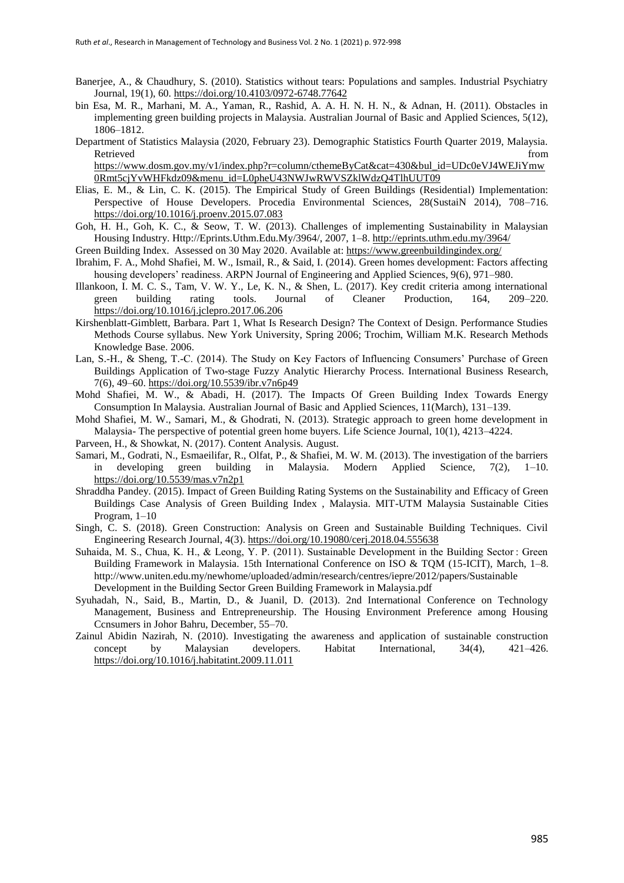- Banerjee, A., & Chaudhury, S. (2010). Statistics without tears: Populations and samples. Industrial Psychiatry Journal, 19(1), 60.<https://doi.org/10.4103/0972-6748.77642>
- bin Esa, M. R., Marhani, M. A., Yaman, R., Rashid, A. A. H. N. H. N., & Adnan, H. (2011). Obstacles in implementing green building projects in Malaysia. Australian Journal of Basic and Applied Sciences, 5(12), 1806–1812.
- Department of Statistics Malaysia (2020, February 23). Demographic Statistics Fourth Quarter 2019, Malaysia. Retrieved that the contract of the contract of the contract of the contract of the contract of the contract of the contract of the contract of the contract of the contract of the contract of the contract of the contract of

[https://www.dosm.gov.my/v1/index.php?r=column/cthemeByCat&cat=430&bul\\_id=UDc0eVJ4WEJiYmw](https://www.dosm.gov.my/v1/index.php?r=column/cthemeByCat&cat=430&bul_id=UDc0eVJ4WEJiYmw0Rmt5cjYvWHFkdz09&menu_id=L0pheU43NWJwRWVSZklWdzQ4TlhUUT09) [0Rmt5cjYvWHFkdz09&menu\\_id=L0pheU43NWJwRWVSZklWdzQ4TlhUUT09](https://www.dosm.gov.my/v1/index.php?r=column/cthemeByCat&cat=430&bul_id=UDc0eVJ4WEJiYmw0Rmt5cjYvWHFkdz09&menu_id=L0pheU43NWJwRWVSZklWdzQ4TlhUUT09)

- Elias, E. M., & Lin, C. K. (2015). The Empirical Study of Green Buildings (Residential) Implementation: Perspective of House Developers. Procedia Environmental Sciences, 28(SustaiN 2014), 708-716. <https://doi.org/10.1016/j.proenv.2015.07.083>
- Goh, H. H., Goh, K. C., & Seow, T. W. (2013). Challenges of implementing Sustainability in Malaysian Housing Industry. Http://Eprints.Uthm.Edu.My/3964/, 2007, 1–8[. http://eprints.uthm.edu.my/3964/](http://eprints.uthm.edu.my/3964/)

Green Building Index. Assessed on 30 May 2020. Available at[: https://www.greenbuildingindex.org/](https://www.greenbuildingindex.org/)

- Ibrahim, F. A., Mohd Shafiei, M. W., Ismail, R., & Said, I. (2014). Green homes development: Factors affecting housing developers' readiness. ARPN Journal of Engineering and Applied Sciences, 9(6), 971–980.
- Illankoon, I. M. C. S., Tam, V. W. Y., Le, K. N., & Shen, L. (2017). Key credit criteria among international green building rating tools. Journal of Cleaner Production, 164, 209–220. <https://doi.org/10.1016/j.jclepro.2017.06.206>
- Kirshenblatt-Gimblett, Barbara. Part 1, What Is Research Design? The Context of Design. Performance Studies Methods Course syllabus. New York University, Spring 2006; Trochim, William M.K. Research Methods Knowledge Base. 2006.
- Lan, S.-H., & Sheng, T.-C. (2014). The Study on Key Factors of Influencing Consumers" Purchase of Green Buildings Application of Two-stage Fuzzy Analytic Hierarchy Process. International Business Research, 7(6), 49–60[. https://doi.org/10.5539/ibr.v7n6p49](https://doi.org/10.5539/ibr.v7n6p49)
- Mohd Shafiei, M. W., & Abadi, H. (2017). The Impacts Of Green Building Index Towards Energy Consumption In Malaysia. Australian Journal of Basic and Applied Sciences, 11(March), 131–139.
- Mohd Shafiei, M. W., Samari, M., & Ghodrati, N. (2013). Strategic approach to green home development in Malaysia- The perspective of potential green home buyers. Life Science Journal, 10(1), 4213–4224.
- Parveen, H., & Showkat, N. (2017). Content Analysis. August.
- Samari, M., Godrati, N., Esmaeilifar, R., Olfat, P., & Shafiei, M. W. M. (2013). The investigation of the barriers in developing green building in Malaysia. Modern Applied Science, 7(2), 1–10. <https://doi.org/10.5539/mas.v7n2p1>
- Shraddha Pandey. (2015). Impact of Green Building Rating Systems on the Sustainability and Efficacy of Green Buildings Case Analysis of Green Building Index , Malaysia. MIT-UTM Malaysia Sustainable Cities Program, 1–10
- Singh, C. S. (2018). Green Construction: Analysis on Green and Sustainable Building Techniques. Civil Engineering Research Journal, 4(3)[. https://doi.org/10.19080/cerj.2018.04.555638](https://doi.org/10.19080/cerj.2018.04.555638)
- Suhaida, M. S., Chua, K. H., & Leong, Y. P. (2011). Sustainable Development in the Building Sector : Green Building Framework in Malaysia. 15th International Conference on ISO & TQM (15-ICIT), March, 1–8. http://www.uniten.edu.my/newhome/uploaded/admin/research/centres/iepre/2012/papers/Sustainable Development in the Building Sector Green Building Framework in Malaysia.pdf
- Syuhadah, N., Said, B., Martin, D., & Juanil, D. (2013). 2nd International Conference on Technology Management, Business and Entrepreneurship. The Housing Environment Preference among Housing Ccnsumers in Johor Bahru, December, 55–70.
- Zainul Abidin Nazirah, N. (2010). Investigating the awareness and application of sustainable construction concept by Malaysian developers. Habitat International, 34(4), 421–426. <https://doi.org/10.1016/j.habitatint.2009.11.011>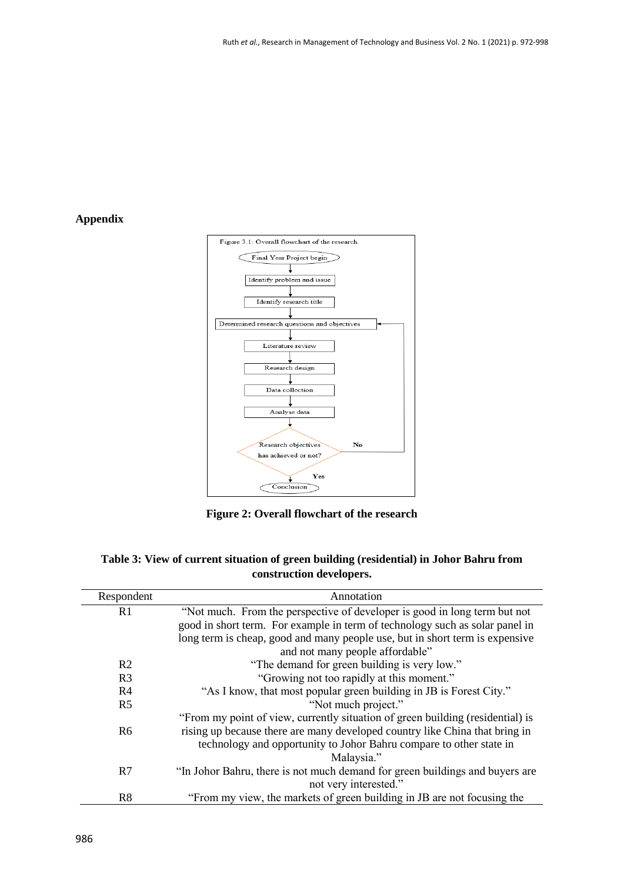# **Appendix**



**Figure 2: Overall flowchart of the research**

| Table 3: View of current situation of green building (residential) in Johor Bahru from |
|----------------------------------------------------------------------------------------|
| construction developers.                                                               |

| Respondent     | Annotation                                                                     |  |
|----------------|--------------------------------------------------------------------------------|--|
| R <sub>1</sub> | "Not much. From the perspective of developer is good in long term but not      |  |
|                | good in short term. For example in term of technology such as solar panel in   |  |
|                | long term is cheap, good and many people use, but in short term is expensive   |  |
|                | and not many people affordable"                                                |  |
| R <sub>2</sub> | "The demand for green building is very low."                                   |  |
| R <sub>3</sub> | "Growing not too rapidly at this moment."                                      |  |
| R <sub>4</sub> | "As I know, that most popular green building in JB is Forest City."            |  |
| R <sub>5</sub> | "Not much project."                                                            |  |
|                | "From my point of view, currently situation of green building (residential) is |  |
| R <sub>6</sub> | rising up because there are many developed country like China that bring in    |  |
|                | technology and opportunity to Johor Bahru compare to other state in            |  |
|                | Malaysia."                                                                     |  |
| R7             | "In Johor Bahru, there is not much demand for green buildings and buyers are   |  |
|                | not very interested."                                                          |  |
| R <sub>8</sub> | "From my view, the markets of green building in JB are not focusing the        |  |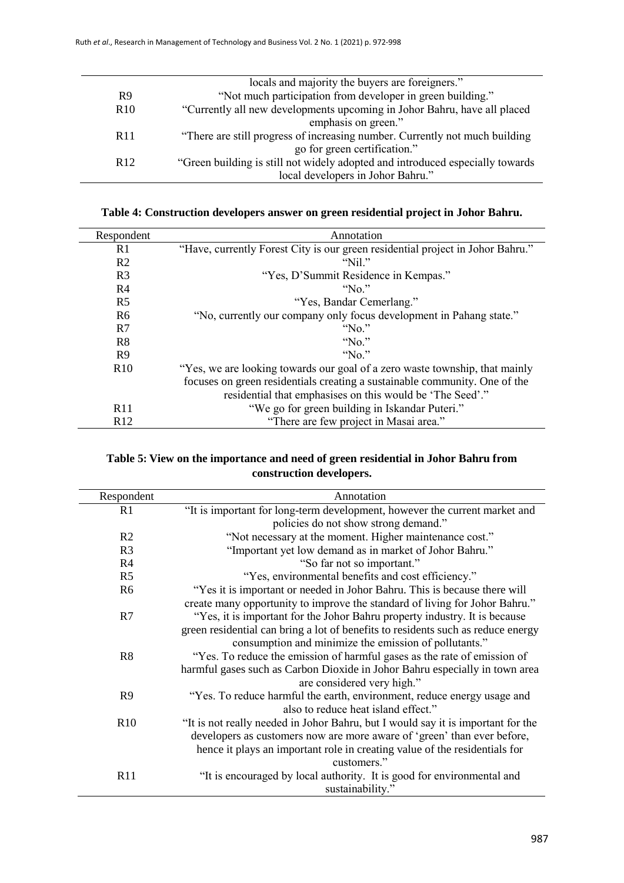|                 | locals and majority the buyers are foreigners."                               |
|-----------------|-------------------------------------------------------------------------------|
| R <sub>9</sub>  | "Not much participation from developer in green building."                    |
| R <sub>10</sub> | "Currently all new developments upcoming in Johor Bahru, have all placed      |
|                 | emphasis on green."                                                           |
| R <sub>11</sub> | "There are still progress of increasing number. Currently not much building   |
|                 | go for green certification."                                                  |
| R <sub>12</sub> | "Green building is still not widely adopted and introduced especially towards |
|                 | local developers in Johor Bahru."                                             |
|                 |                                                                               |

| Table 4: Construction developers answer on green residential project in Johor Bahru. |  |  |  |  |
|--------------------------------------------------------------------------------------|--|--|--|--|
|                                                                                      |  |  |  |  |

| Respondent      | Annotation                                                                     |
|-----------------|--------------------------------------------------------------------------------|
| R <sub>1</sub>  | "Have, currently Forest City is our green residential project in Johor Bahru." |
| R <sub>2</sub>  | "Nil."                                                                         |
| R <sub>3</sub>  | "Yes, D'Summit Residence in Kempas."                                           |
| R4              | "No"                                                                           |
| R <sub>5</sub>  | "Yes, Bandar Cemerlang."                                                       |
| R <sub>6</sub>  | "No, currently our company only focus development in Pahang state."            |
| R7              | "No"                                                                           |
| R8              | " $No."$                                                                       |
| R9              | " $No."$                                                                       |
| R10             | "Yes, we are looking towards our goal of a zero waste township, that mainly    |
|                 | focuses on green residentials creating a sustainable community. One of the     |
|                 | residential that emphasises on this would be 'The Seed'."                      |
| R11             | "We go for green building in Iskandar Puteri."                                 |
| R <sub>12</sub> | "There are few project in Masai area."                                         |

# **Table 5: View on the importance and need of green residential in Johor Bahru from construction developers.**

| Respondent     | Annotation                                                                       |
|----------------|----------------------------------------------------------------------------------|
| R1             | "It is important for long-term development, however the current market and       |
|                | policies do not show strong demand."                                             |
| R <sub>2</sub> | "Not necessary at the moment. Higher maintenance cost."                          |
| R <sub>3</sub> | "Important yet low demand as in market of Johor Bahru."                          |
| R <sub>4</sub> | "So far not so important."                                                       |
| R <sub>5</sub> | "Yes, environmental benefits and cost efficiency."                               |
| R <sub>6</sub> | "Yes it is important or needed in Johor Bahru. This is because there will        |
|                | create many opportunity to improve the standard of living for Johor Bahru."      |
| R7             | "Yes, it is important for the Johor Bahru property industry. It is because       |
|                | green residential can bring a lot of benefits to residents such as reduce energy |
|                | consumption and minimize the emission of pollutants."                            |
| R <sub>8</sub> | "Yes. To reduce the emission of harmful gases as the rate of emission of         |
|                | harmful gases such as Carbon Dioxide in Johor Bahru especially in town area      |
|                | are considered very high."                                                       |
| R <sub>9</sub> | "Yes. To reduce harmful the earth, environment, reduce energy usage and          |
|                | also to reduce heat island effect."                                              |
| R10            | "It is not really needed in Johor Bahru, but I would say it is important for the |
|                | developers as customers now are more aware of 'green' than ever before,          |
|                | hence it plays an important role in creating value of the residentials for       |
|                | customers."                                                                      |
| R11            | "It is encouraged by local authority. It is good for environmental and           |
|                | sustainability."                                                                 |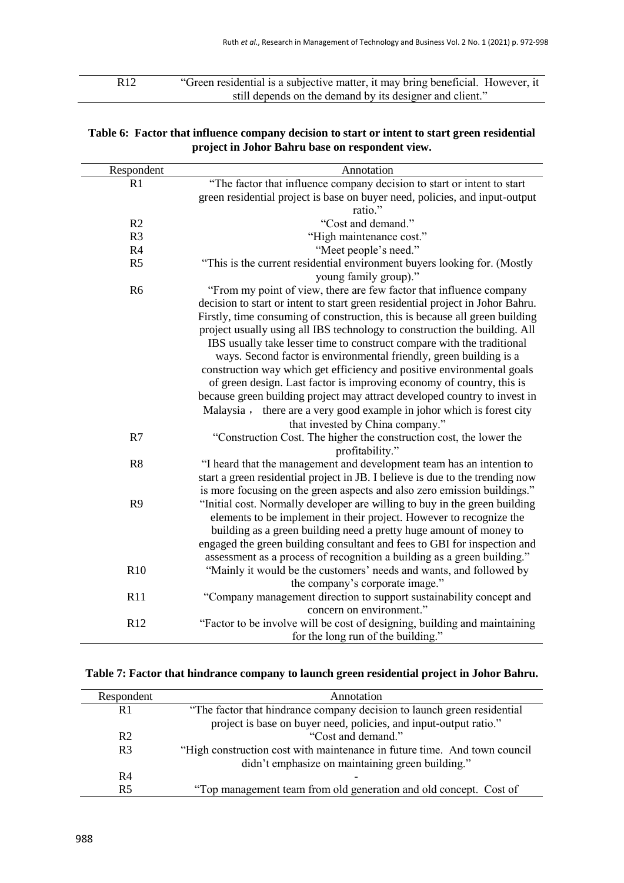R12 "Green residential is a subjective matter, it may bring beneficial. However, it still depends on the demand by its designer and client."

| Respondent      | Annotation                                                                                        |
|-----------------|---------------------------------------------------------------------------------------------------|
| R <sub>1</sub>  | "The factor that influence company decision to start or intent to start                           |
|                 | green residential project is base on buyer need, policies, and input-output                       |
|                 | ratio."                                                                                           |
| R2              | "Cost and demand."                                                                                |
| R <sub>3</sub>  | "High maintenance cost."                                                                          |
| R4              | "Meet people's need."                                                                             |
| R <sub>5</sub>  | "This is the current residential environment buyers looking for. (Mostly<br>young family group)." |
| R <sub>6</sub>  | "From my point of view, there are few factor that influence company                               |
|                 | decision to start or intent to start green residential project in Johor Bahru.                    |
|                 | Firstly, time consuming of construction, this is because all green building                       |
|                 | project usually using all IBS technology to construction the building. All                        |
|                 | IBS usually take lesser time to construct compare with the traditional                            |
|                 | ways. Second factor is environmental friendly, green building is a                                |
|                 | construction way which get efficiency and positive environmental goals                            |
|                 | of green design. Last factor is improving economy of country, this is                             |
|                 | because green building project may attract developed country to invest in                         |
|                 | Malaysia, there are a very good example in johor which is forest city                             |
|                 | that invested by China company."                                                                  |
| R7              | "Construction Cost. The higher the construction cost, the lower the                               |
|                 | profitability."                                                                                   |
| R8              | "I heard that the management and development team has an intention to                             |
|                 | start a green residential project in JB. I believe is due to the trending now                     |
|                 | is more focusing on the green aspects and also zero emission buildings."                          |
| R <sub>9</sub>  | "Initial cost. Normally developer are willing to buy in the green building                        |
|                 | elements to be implement in their project. However to recognize the                               |
|                 | building as a green building need a pretty huge amount of money to                                |
|                 | engaged the green building consultant and fees to GBI for inspection and                          |
|                 | assessment as a process of recognition a building as a green building."                           |
| R <sub>10</sub> | "Mainly it would be the customers' needs and wants, and followed by                               |
|                 | the company's corporate image."                                                                   |
| R11             | "Company management direction to support sustainability concept and                               |
|                 | concern on environment."                                                                          |
| R12             | "Factor to be involve will be cost of designing, building and maintaining                         |
|                 | for the long run of the building."                                                                |

## **Table 6: Factor that influence company decision to start or intent to start green residential project in Johor Bahru base on respondent view.**

## **Table 7: Factor that hindrance company to launch green residential project in Johor Bahru.**

| Respondent     | Annotation                                                                |
|----------------|---------------------------------------------------------------------------|
| R1             | "The factor that hindrance company decision to launch green residential   |
|                | project is base on buyer need, policies, and input-output ratio."         |
| R <sub>2</sub> | "Cost and demand."                                                        |
| R <sub>3</sub> | "High construction cost with maintenance in future time. And town council |
|                | didn't emphasize on maintaining green building."                          |
| R <sub>4</sub> |                                                                           |
| R <sub>5</sub> | "Top management team from old generation and old concept. Cost of         |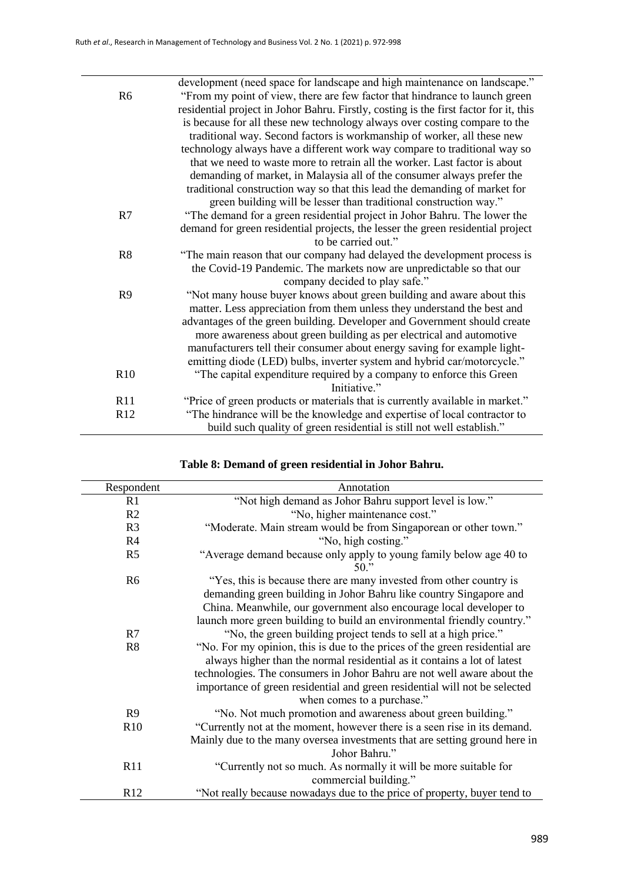$\overline{\phantom{0}}$ 

|                | development (need space for landscape and high maintenance on landscape."             |
|----------------|---------------------------------------------------------------------------------------|
| R <sub>6</sub> | "From my point of view, there are few factor that hindrance to launch green           |
|                | residential project in Johor Bahru. Firstly, costing is the first factor for it, this |
|                | is because for all these new technology always over costing compare to the            |
|                | traditional way. Second factors is workmanship of worker, all these new               |
|                | technology always have a different work way compare to traditional way so             |
|                | that we need to waste more to retrain all the worker. Last factor is about            |
|                | demanding of market, in Malaysia all of the consumer always prefer the                |
|                | traditional construction way so that this lead the demanding of market for            |
|                | green building will be lesser than traditional construction way."                     |
| R7             | "The demand for a green residential project in Johor Bahru. The lower the             |
|                | demand for green residential projects, the lesser the green residential project       |
|                | to be carried out."                                                                   |
| R8             | "The main reason that our company had delayed the development process is              |
|                | the Covid-19 Pandemic. The markets now are unpredictable so that our                  |
|                | company decided to play safe."                                                        |
| R <sub>9</sub> | "Not many house buyer knows about green building and aware about this                 |
|                | matter. Less appreciation from them unless they understand the best and               |
|                | advantages of the green building. Developer and Government should create              |
|                | more awareness about green building as per electrical and automotive                  |
|                |                                                                                       |
|                | manufacturers tell their consumer about energy saving for example light-              |
|                | emitting diode (LED) bulbs, inverter system and hybrid car/motorcycle."               |
| R10            | "The capital expenditure required by a company to enforce this Green                  |
|                | Initiative."                                                                          |
| R11            | "Price of green products or materials that is currently available in market."         |
| R12            | "The hindrance will be the knowledge and expertise of local contractor to             |
|                | build such quality of green residential is still not well establish."                 |

| Respondent     | Annotation                                                                                                                                                                                                                                                                                                                                     |
|----------------|------------------------------------------------------------------------------------------------------------------------------------------------------------------------------------------------------------------------------------------------------------------------------------------------------------------------------------------------|
| R1             | "Not high demand as Johor Bahru support level is low."                                                                                                                                                                                                                                                                                         |
| R2             | "No, higher maintenance cost."                                                                                                                                                                                                                                                                                                                 |
| R <sub>3</sub> | "Moderate. Main stream would be from Singaporean or other town."                                                                                                                                                                                                                                                                               |
| R4             | "No, high costing."                                                                                                                                                                                                                                                                                                                            |
| R <sub>5</sub> | "Average demand because only apply to young family below age 40 to<br>$50.$ "                                                                                                                                                                                                                                                                  |
| R <sub>6</sub> | "Yes, this is because there are many invested from other country is<br>demanding green building in Johor Bahru like country Singapore and<br>China. Meanwhile, our government also encourage local developer to<br>launch more green building to build an environmental friendly country."                                                     |
| R7             | "No, the green building project tends to sell at a high price."                                                                                                                                                                                                                                                                                |
| R <sub>8</sub> | "No. For my opinion, this is due to the prices of the green residential are<br>always higher than the normal residential as it contains a lot of latest<br>technologies. The consumers in Johor Bahru are not well aware about the<br>importance of green residential and green residential will not be selected<br>when comes to a purchase." |
| R <sub>9</sub> | "No. Not much promotion and awareness about green building."                                                                                                                                                                                                                                                                                   |
| R10            | "Currently not at the moment, however there is a seen rise in its demand.<br>Mainly due to the many oversea investments that are setting ground here in<br>Johor Bahru."                                                                                                                                                                       |
| R11            | "Currently not so much. As normally it will be more suitable for<br>commercial building."                                                                                                                                                                                                                                                      |
| R12            | "Not really because nowadays due to the price of property, buyer tend to                                                                                                                                                                                                                                                                       |

# **Table 8: Demand of green residential in Johor Bahru.**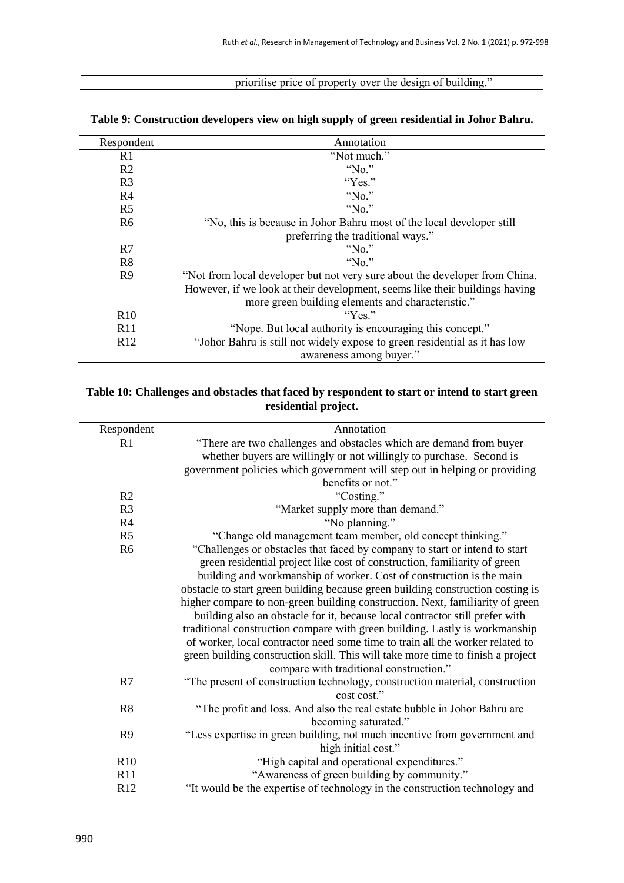# prioritise price of property over the design of building."

| Respondent      | Annotation                                                                  |
|-----------------|-----------------------------------------------------------------------------|
| R1              | "Not much."                                                                 |
| R <sub>2</sub>  | " $No."$                                                                    |
| R <sub>3</sub>  | "Yes."                                                                      |
| R4              | $N_0$ ."                                                                    |
| R <sub>5</sub>  | " $No."$                                                                    |
| R <sub>6</sub>  | "No, this is because in Johor Bahru most of the local developer still       |
|                 | preferring the traditional ways."                                           |
| R7              | $N_0$ ."                                                                    |
| R <sub>8</sub>  | "No."                                                                       |
| R <sub>9</sub>  | "Not from local developer but not very sure about the developer from China. |
|                 | However, if we look at their development, seems like their buildings having |
|                 | more green building elements and characteristic."                           |
| R10             | "Yes"                                                                       |
| R <sub>11</sub> | "Nope. But local authority is encouraging this concept."                    |
| R12             | "Johor Bahru is still not widely expose to green residential as it has low  |
|                 | awareness among buyer."                                                     |

#### **Table 9: Construction developers view on high supply of green residential in Johor Bahru.**

## **Table 10: Challenges and obstacles that faced by respondent to start or intend to start green residential project.**

| Respondent     | Annotation                                                                      |
|----------------|---------------------------------------------------------------------------------|
| R1             | "There are two challenges and obstacles which are demand from buyer             |
|                | whether buyers are willingly or not willingly to purchase. Second is            |
|                | government policies which government will step out in helping or providing      |
|                | benefits or not."                                                               |
| R <sub>2</sub> | "Costing."                                                                      |
| R <sub>3</sub> | "Market supply more than demand."                                               |
| R <sub>4</sub> | "No planning."                                                                  |
| R <sub>5</sub> | "Change old management team member, old concept thinking."                      |
| R <sub>6</sub> | "Challenges or obstacles that faced by company to start or intend to start      |
|                | green residential project like cost of construction, familiarity of green       |
|                | building and workmanship of worker. Cost of construction is the main            |
|                | obstacle to start green building because green building construction costing is |
|                | higher compare to non-green building construction. Next, familiarity of green   |
|                | building also an obstacle for it, because local contractor still prefer with    |
|                | traditional construction compare with green building. Lastly is workmanship     |
|                | of worker, local contractor need some time to train all the worker related to   |
|                | green building construction skill. This will take more time to finish a project |
|                | compare with traditional construction."                                         |
| R7             | "The present of construction technology, construction material, construction    |
|                | cost cost."                                                                     |
| R8             | "The profit and loss. And also the real estate bubble in Johor Bahru are        |
|                | becoming saturated."                                                            |
| R <sub>9</sub> | "Less expertise in green building, not much incentive from government and       |
|                | high initial cost."                                                             |
| R10            | "High capital and operational expenditures."                                    |
| R11            | "Awareness of green building by community."                                     |
| R12            | "It would be the expertise of technology in the construction technology and     |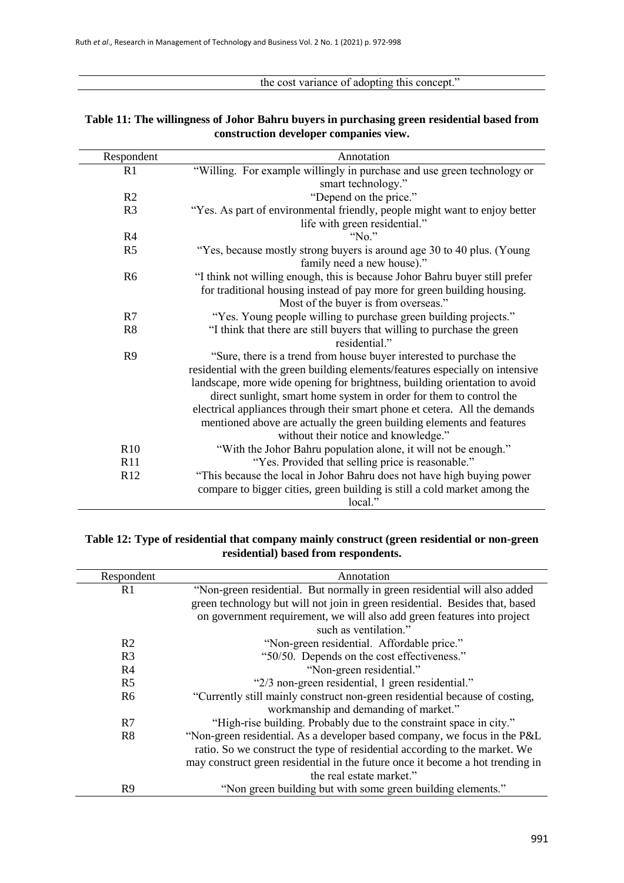the cost variance of adopting this concept."

| Respondent     | Annotation                                                                                                      |
|----------------|-----------------------------------------------------------------------------------------------------------------|
| R1             | "Willing. For example willingly in purchase and use green technology or                                         |
|                | smart technology."                                                                                              |
| R2             | "Depend on the price."                                                                                          |
| R <sub>3</sub> | "Yes. As part of environmental friendly, people might want to enjoy better<br>life with green residential."     |
| R4             | "No."                                                                                                           |
| R <sub>5</sub> | "Yes, because mostly strong buyers is around age 30 to 40 plus. (Young<br>family need a new house)."            |
| R <sub>6</sub> | "I think not willing enough, this is because Johor Bahru buyer still prefer                                     |
|                | for traditional housing instead of pay more for green building housing.<br>Most of the buyer is from overseas." |
| R7             | "Yes. Young people willing to purchase green building projects."                                                |
| R8             | "I think that there are still buyers that willing to purchase the green                                         |
|                | residential."                                                                                                   |
| R <sub>9</sub> | "Sure, there is a trend from house buyer interested to purchase the                                             |
|                | residential with the green building elements/features especially on intensive                                   |
|                | landscape, more wide opening for brightness, building orientation to avoid                                      |
|                | direct sunlight, smart home system in order for them to control the                                             |
|                | electrical appliances through their smart phone et cetera. All the demands                                      |
|                | mentioned above are actually the green building elements and features                                           |
|                | without their notice and knowledge."                                                                            |
| R10            | "With the Johor Bahru population alone, it will not be enough."                                                 |
| R11            | "Yes. Provided that selling price is reasonable."                                                               |
| R12            | "This because the local in Johor Bahru does not have high buying power                                          |
|                | compare to bigger cities, green building is still a cold market among the                                       |
|                | local."                                                                                                         |

## **Table 11: The willingness of Johor Bahru buyers in purchasing green residential based from construction developer companies view.**

## **Table 12: Type of residential that company mainly construct (green residential or non-green residential) based from respondents.**

| Respondent     | Annotation                                                                     |
|----------------|--------------------------------------------------------------------------------|
| R <sub>1</sub> | "Non-green residential. But normally in green residential will also added      |
|                | green technology but will not join in green residential. Besides that, based   |
|                | on government requirement, we will also add green features into project        |
|                | such as ventilation."                                                          |
| R <sub>2</sub> | "Non-green residential. Affordable price."                                     |
| R <sub>3</sub> | "50/50. Depends on the cost effectiveness."                                    |
| R <sub>4</sub> | "Non-green residential."                                                       |
| R <sub>5</sub> | "2/3 non-green residential, 1 green residential."                              |
| R <sub>6</sub> | "Currently still mainly construct non-green residential because of costing,    |
|                | workmanship and demanding of market."                                          |
| R7             | "High-rise building. Probably due to the constraint space in city."            |
| R8             | "Non-green residential. As a developer based company, we focus in the P&L      |
|                | ratio. So we construct the type of residential according to the market. We     |
|                | may construct green residential in the future once it become a hot trending in |
|                | the real estate market."                                                       |
| R9             | "Non green building but with some green building elements."                    |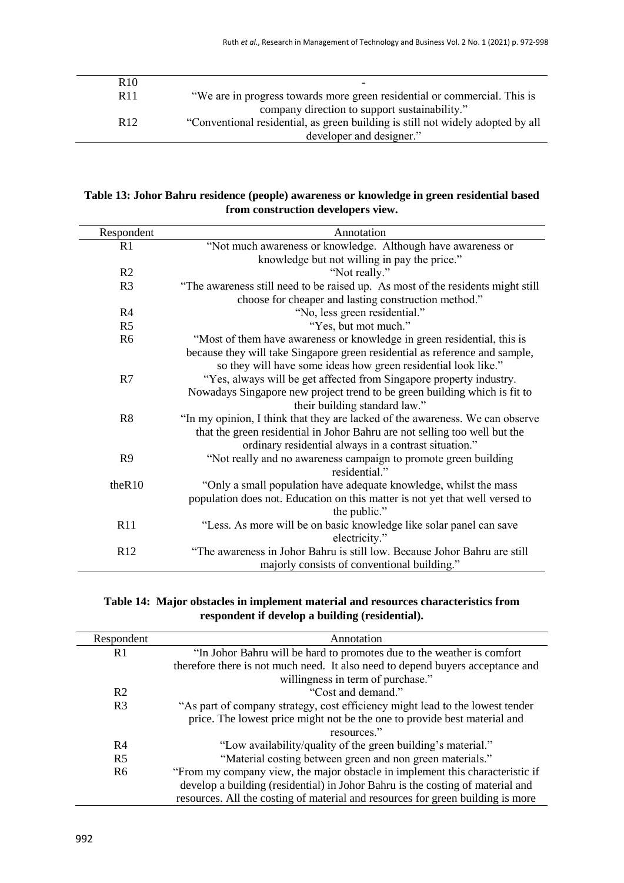| R <sub>10</sub> |                                                                                 |
|-----------------|---------------------------------------------------------------------------------|
| R <sub>11</sub> | "We are in progress towards more green residential or commercial. This is       |
|                 | company direction to support sustainability."                                   |
| R <sub>12</sub> | "Conventional residential, as green building is still not widely adopted by all |
|                 | developer and designer."                                                        |
|                 |                                                                                 |

## **Table 13: Johor Bahru residence (people) awareness or knowledge in green residential based from construction developers view.**

| Respondent      | Annotation                                                                      |
|-----------------|---------------------------------------------------------------------------------|
| R1              | "Not much awareness or knowledge. Although have awareness or                    |
|                 | knowledge but not willing in pay the price."                                    |
| R <sub>2</sub>  | "Not really."                                                                   |
| R <sub>3</sub>  | "The awareness still need to be raised up. As most of the residents might still |
|                 | choose for cheaper and lasting construction method."                            |
| R <sub>4</sub>  | "No, less green residential."                                                   |
| R <sub>5</sub>  | "Yes, but mot much."                                                            |
| R <sub>6</sub>  | "Most of them have awareness or knowledge in green residential, this is         |
|                 | because they will take Singapore green residential as reference and sample,     |
|                 | so they will have some ideas how green residential look like."                  |
| R7              | "Yes, always will be get affected from Singapore property industry.             |
|                 | Nowadays Singapore new project trend to be green building which is fit to       |
|                 | their building standard law."                                                   |
| R <sub>8</sub>  | "In my opinion, I think that they are lacked of the awareness. We can observe   |
|                 | that the green residential in Johor Bahru are not selling too well but the      |
|                 | ordinary residential always in a contrast situation."                           |
| R <sub>9</sub>  | "Not really and no awareness campaign to promote green building                 |
|                 | residential."                                                                   |
| theR10          | "Only a small population have adequate knowledge, whilst the mass               |
|                 | population does not. Education on this matter is not yet that well versed to    |
|                 | the public."                                                                    |
| R11             | "Less. As more will be on basic knowledge like solar panel can save             |
|                 | electricity."                                                                   |
| R <sub>12</sub> | "The awareness in Johor Bahru is still low. Because Johor Bahru are still       |
|                 | majorly consists of conventional building."                                     |

## **Table 14: Major obstacles in implement material and resources characteristics from respondent if develop a building (residential).**

| Respondent     | Annotation                                                                      |
|----------------|---------------------------------------------------------------------------------|
| R1             | "In Johor Bahru will be hard to promotes due to the weather is comfort          |
|                | therefore there is not much need. It also need to depend buyers acceptance and  |
|                | willingness in term of purchase."                                               |
| R <sub>2</sub> | "Cost and demand."                                                              |
| R <sub>3</sub> | "As part of company strategy, cost efficiency might lead to the lowest tender   |
|                | price. The lowest price might not be the one to provide best material and       |
|                | resources."                                                                     |
| R <sub>4</sub> | "Low availability/quality of the green building's material."                    |
| R <sub>5</sub> | "Material costing between green and non green materials."                       |
| R <sub>6</sub> | "From my company view, the major obstacle in implement this characteristic if   |
|                | develop a building (residential) in Johor Bahru is the costing of material and  |
|                | resources. All the costing of material and resources for green building is more |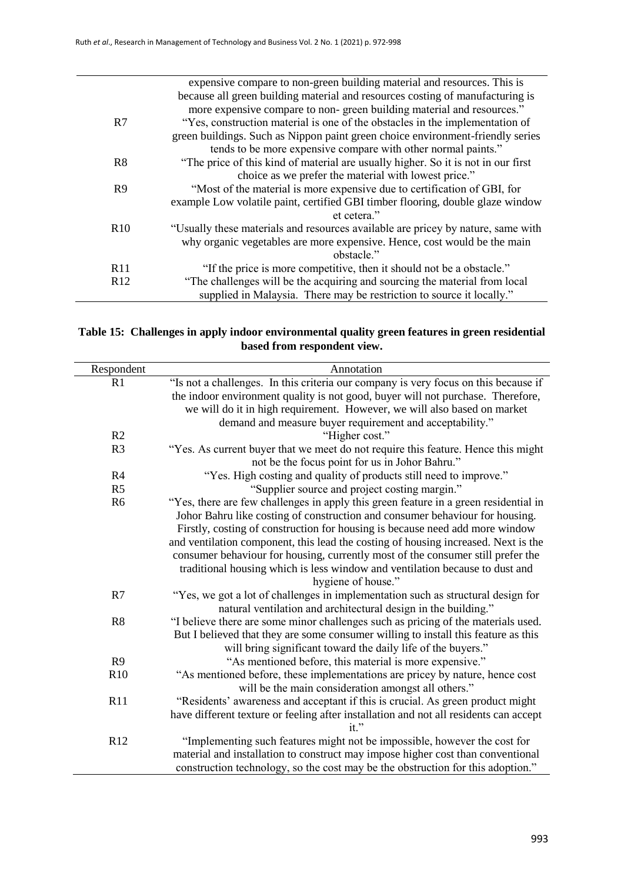|                 | expensive compare to non-green building material and resources. This is           |
|-----------------|-----------------------------------------------------------------------------------|
|                 | because all green building material and resources costing of manufacturing is     |
|                 | more expensive compare to non-green building material and resources."             |
| R7              | "Yes, construction material is one of the obstacles in the implementation of      |
|                 | green buildings. Such as Nippon paint green choice environment-friendly series    |
|                 | tends to be more expensive compare with other normal paints."                     |
| R8              | "The price of this kind of material are usually higher. So it is not in our first |
|                 | choice as we prefer the material with lowest price."                              |
| R9              | "Most of the material is more expensive due to certification of GBI, for          |
|                 | example Low volatile paint, certified GBI timber flooring, double glaze window    |
|                 | et cetera."                                                                       |
| R10             | "Usually these materials and resources available are pricey by nature, same with  |
|                 | why organic vegetables are more expensive. Hence, cost would be the main          |
|                 | obstacle."                                                                        |
| R11             | "If the price is more competitive, then it should not be a obstacle."             |
| R <sub>12</sub> | "The challenges will be the acquiring and sourcing the material from local        |
|                 | supplied in Malaysia. There may be restriction to source it locally."             |

## **Table 15: Challenges in apply indoor environmental quality green features in green residential based from respondent view.**

| Respondent     | Annotation                                                                                                                          |
|----------------|-------------------------------------------------------------------------------------------------------------------------------------|
| R1             | "Is not a challenges. In this criteria our company is very focus on this because if                                                 |
|                | the indoor environment quality is not good, buyer will not purchase. Therefore,                                                     |
|                | we will do it in high requirement. However, we will also based on market                                                            |
|                | demand and measure buyer requirement and acceptability."                                                                            |
| R <sub>2</sub> | "Higher cost."                                                                                                                      |
| R <sub>3</sub> | "Yes. As current buyer that we meet do not require this feature. Hence this might<br>not be the focus point for us in Johor Bahru." |
| R4             | "Yes. High costing and quality of products still need to improve."                                                                  |
| R <sub>5</sub> | "Supplier source and project costing margin."                                                                                       |
| R <sub>6</sub> | "Yes, there are few challenges in apply this green feature in a green residential in                                                |
|                | Johor Bahru like costing of construction and consumer behaviour for housing.                                                        |
|                | Firstly, costing of construction for housing is because need add more window                                                        |
|                | and ventilation component, this lead the costing of housing increased. Next is the                                                  |
|                | consumer behaviour for housing, currently most of the consumer still prefer the                                                     |
|                | traditional housing which is less window and ventilation because to dust and                                                        |
|                | hygiene of house."                                                                                                                  |
| R7             | "Yes, we got a lot of challenges in implementation such as structural design for                                                    |
|                | natural ventilation and architectural design in the building."                                                                      |
| R8             | "I believe there are some minor challenges such as pricing of the materials used.                                                   |
|                | But I believed that they are some consumer willing to install this feature as this                                                  |
|                | will bring significant toward the daily life of the buyers."                                                                        |
| R9             | "As mentioned before, this material is more expensive."                                                                             |
| R10            | "As mentioned before, these implementations are pricey by nature, hence cost                                                        |
|                | will be the main consideration amongst all others."                                                                                 |
| R11            | "Residents' awareness and acceptant if this is crucial. As green product might                                                      |
|                | have different texture or feeling after installation and not all residents can accept                                               |
|                | it."                                                                                                                                |
| R12            | "Implementing such features might not be impossible, however the cost for                                                           |
|                | material and installation to construct may impose higher cost than conventional                                                     |
|                | construction technology, so the cost may be the obstruction for this adoption."                                                     |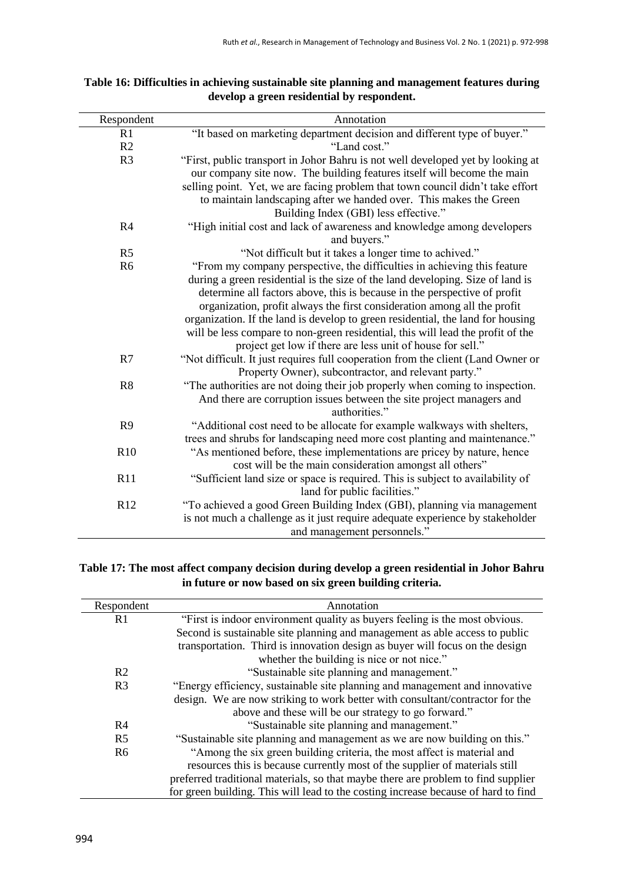| Respondent     | Annotation                                                                       |
|----------------|----------------------------------------------------------------------------------|
| R1             | "It based on marketing department decision and different type of buyer."         |
| R2             | "Land cost."                                                                     |
| R <sub>3</sub> | "First, public transport in Johor Bahru is not well developed yet by looking at  |
|                | our company site now. The building features itself will become the main          |
|                | selling point. Yet, we are facing problem that town council didn't take effort   |
|                | to maintain landscaping after we handed over. This makes the Green               |
|                | Building Index (GBI) less effective."                                            |
| R4             | "High initial cost and lack of awareness and knowledge among developers          |
|                | and buyers."                                                                     |
| R <sub>5</sub> | "Not difficult but it takes a longer time to achived."                           |
| R <sub>6</sub> | "From my company perspective, the difficulties in achieving this feature         |
|                | during a green residential is the size of the land developing. Size of land is   |
|                | determine all factors above, this is because in the perspective of profit        |
|                | organization, profit always the first consideration among all the profit         |
|                | organization. If the land is develop to green residential, the land for housing  |
|                | will be less compare to non-green residential, this will lead the profit of the  |
|                | project get low if there are less unit of house for sell."                       |
| R7             | "Not difficult. It just requires full cooperation from the client (Land Owner or |
|                | Property Owner), subcontractor, and relevant party."                             |
| R8             | "The authorities are not doing their job properly when coming to inspection.     |
|                | And there are corruption issues between the site project managers and            |
|                | authorities."                                                                    |
| R <sub>9</sub> | "Additional cost need to be allocate for example walkways with shelters,         |
|                | trees and shrubs for landscaping need more cost planting and maintenance."       |
| R10            | "As mentioned before, these implementations are pricey by nature, hence          |
|                | cost will be the main consideration amongst all others"                          |
| R11            | "Sufficient land size or space is required. This is subject to availability of   |
|                | land for public facilities."                                                     |
| R12            | "To achieved a good Green Building Index (GBI), planning via management          |
|                | is not much a challenge as it just require adequate experience by stakeholder    |
|                | and management personnels."                                                      |

## **Table 16: Difficulties in achieving sustainable site planning and management features during develop a green residential by respondent.**

## **Table 17: The most affect company decision during develop a green residential in Johor Bahru in future or now based on six green building criteria.**

| Respondent     | Annotation                                                                         |
|----------------|------------------------------------------------------------------------------------|
| R <sub>1</sub> | "First is indoor environment quality as buyers feeling is the most obvious.        |
|                | Second is sustainable site planning and management as able access to public        |
|                | transportation. Third is innovation design as buyer will focus on the design       |
|                | whether the building is nice or not nice."                                         |
| R <sub>2</sub> | "Sustainable site planning and management."                                        |
| R <sub>3</sub> | "Energy efficiency, sustainable site planning and management and innovative        |
|                | design. We are now striking to work better with consultant/contractor for the      |
|                | above and these will be our strategy to go forward."                               |
| R <sub>4</sub> | "Sustainable site planning and management."                                        |
| R <sub>5</sub> | "Sustainable site planning and management as we are now building on this."         |
| R <sub>6</sub> | "Among the six green building criteria, the most affect is material and            |
|                | resources this is because currently most of the supplier of materials still        |
|                | preferred traditional materials, so that maybe there are problem to find supplier  |
|                | for green building. This will lead to the costing increase because of hard to find |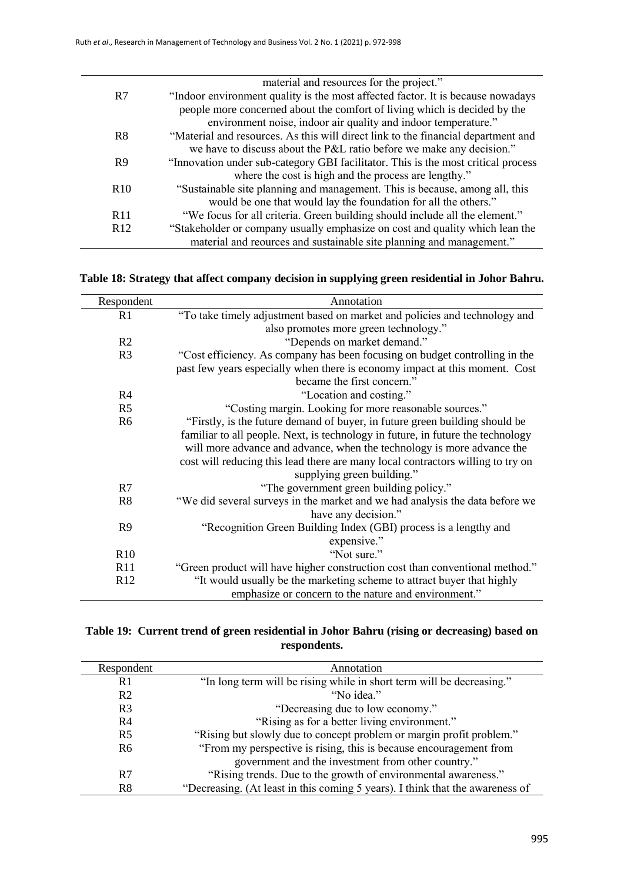|                 | material and resources for the project."                                          |
|-----------------|-----------------------------------------------------------------------------------|
| R7              | "Indoor environment quality is the most affected factor. It is because nowadays   |
|                 | people more concerned about the comfort of living which is decided by the         |
|                 | environment noise, indoor air quality and indoor temperature."                    |
| R8              | "Material and resources. As this will direct link to the financial department and |
|                 | we have to discuss about the P&L ratio before we make any decision."              |
| R <sub>9</sub>  | "Innovation under sub-category GBI facilitator. This is the most critical process |
|                 | where the cost is high and the process are lengthy."                              |
| R <sub>10</sub> | "Sustainable site planning and management. This is because, among all, this       |
|                 | would be one that would lay the foundation for all the others."                   |
| R <sub>11</sub> | "We focus for all criteria. Green building should include all the element."       |
| R <sub>12</sub> | "Stakeholder or company usually emphasize on cost and quality which lean the      |
|                 | material and reources and sustainable site planning and management."              |

## **Table 18: Strategy that affect company decision in supplying green residential in Johor Bahru.**

| Respondent     | Annotation                                                                      |
|----------------|---------------------------------------------------------------------------------|
| R <sub>1</sub> | "To take timely adjustment based on market and policies and technology and      |
|                | also promotes more green technology."                                           |
| R <sub>2</sub> | "Depends on market demand."                                                     |
| R <sub>3</sub> | "Cost efficiency. As company has been focusing on budget controlling in the     |
|                | past few years especially when there is economy impact at this moment. Cost     |
|                | became the first concern."                                                      |
| R <sub>4</sub> | "Location and costing."                                                         |
| R <sub>5</sub> | "Costing margin. Looking for more reasonable sources."                          |
| R <sub>6</sub> | "Firstly, is the future demand of buyer, in future green building should be     |
|                | familiar to all people. Next, is technology in future, in future the technology |
|                | will more advance and advance, when the technology is more advance the          |
|                | cost will reducing this lead there are many local contractors willing to try on |
|                | supplying green building."                                                      |
| R7             | "The government green building policy."                                         |
| R <sub>8</sub> | "We did several surveys in the market and we had analysis the data before we    |
|                | have any decision."                                                             |
| R <sub>9</sub> | "Recognition Green Building Index (GBI) process is a lengthy and                |
|                | expensive."                                                                     |
| R10            | "Not sure."                                                                     |
| R11            | "Green product will have higher construction cost than conventional method."    |
| R12            | "It would usually be the marketing scheme to attract buyer that highly          |
|                | emphasize or concern to the nature and environment."                            |

## **Table 19: Current trend of green residential in Johor Bahru (rising or decreasing) based on respondents.**

| Respondent     | Annotation                                                                    |
|----------------|-------------------------------------------------------------------------------|
|                |                                                                               |
| R <sub>1</sub> | "In long term will be rising while in short term will be decreasing."         |
| R <sub>2</sub> | "No idea."                                                                    |
| R <sub>3</sub> | "Decreasing due to low economy."                                              |
| R <sub>4</sub> | "Rising as for a better living environment."                                  |
| R <sub>5</sub> | "Rising but slowly due to concept problem or margin profit problem."          |
| R <sub>6</sub> | "From my perspective is rising, this is because encouragement from            |
|                | government and the investment from other country."                            |
| R7             | "Rising trends. Due to the growth of environmental awareness."                |
| R8             | "Decreasing. (At least in this coming 5 years). I think that the awareness of |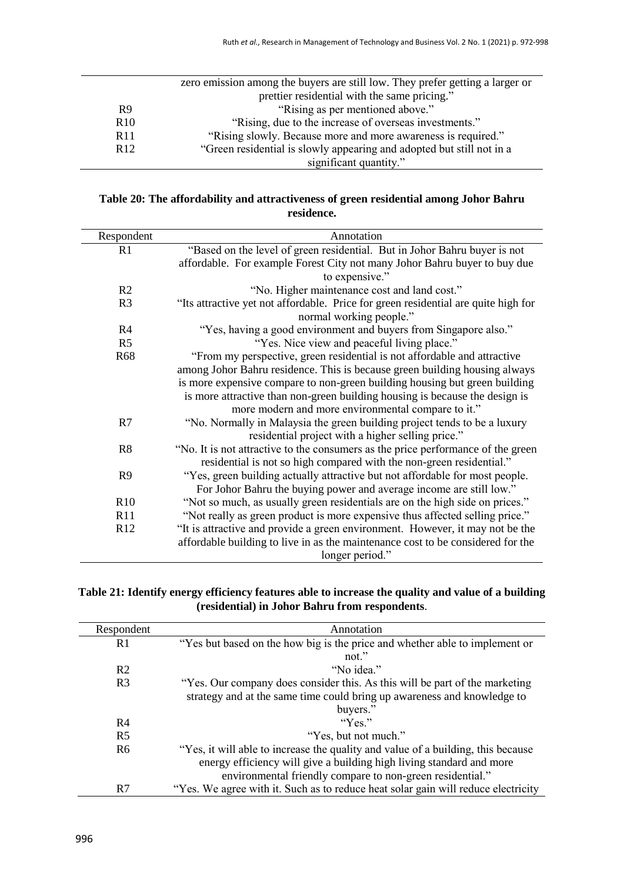|                 | zero emission among the buyers are still low. They prefer getting a larger or |
|-----------------|-------------------------------------------------------------------------------|
|                 | prettier residential with the same pricing."                                  |
| R <sub>9</sub>  | "Rising as per mentioned above."                                              |
| R <sub>10</sub> | "Rising, due to the increase of overseas investments."                        |
| R <sub>11</sub> | "Rising slowly. Because more and more awareness is required."                 |
| R <sub>12</sub> | "Green residential is slowly appearing and adopted but still not in a         |
|                 | significant quantity."                                                        |

## **Table 20: The affordability and attractiveness of green residential among Johor Bahru residence.**

| Respondent     | Annotation                                                                         |
|----------------|------------------------------------------------------------------------------------|
| R1             | "Based on the level of green residential. But in Johor Bahru buyer is not          |
|                | affordable. For example Forest City not many Johor Bahru buyer to buy due          |
|                | to expensive."                                                                     |
| R <sub>2</sub> | "No. Higher maintenance cost and land cost."                                       |
| R <sub>3</sub> | "Its attractive yet not affordable. Price for green residential are quite high for |
|                | normal working people."                                                            |
| R <sub>4</sub> | "Yes, having a good environment and buyers from Singapore also."                   |
| R <sub>5</sub> | "Yes. Nice view and peaceful living place."                                        |
| <b>R68</b>     | "From my perspective, green residential is not affordable and attractive           |
|                | among Johor Bahru residence. This is because green building housing always         |
|                | is more expensive compare to non-green building housing but green building         |
|                | is more attractive than non-green building housing is because the design is        |
|                | more modern and more environmental compare to it."                                 |
| R7             | "No. Normally in Malaysia the green building project tends to be a luxury          |
|                | residential project with a higher selling price."                                  |
| R8             | "No. It is not attractive to the consumers as the price performance of the green   |
|                | residential is not so high compared with the non-green residential."               |
| R <sub>9</sub> | "Yes, green building actually attractive but not affordable for most people.       |
|                | For Johor Bahru the buying power and average income are still low."                |
| R10            | "Not so much, as usually green residentials are on the high side on prices."       |
| R11            | "Not really as green product is more expensive thus affected selling price."       |
| R12            | "It is attractive and provide a green environment. However, it may not be the      |
|                | affordable building to live in as the maintenance cost to be considered for the    |
|                | longer period."                                                                    |

## **Table 21: Identify energy efficiency features able to increase the quality and value of a building (residential) in Johor Bahru from respondents**.

| Respondent     | Annotation                                                                        |
|----------------|-----------------------------------------------------------------------------------|
| R1             | "Yes but based on the how big is the price and whether able to implement or       |
|                | not $"$                                                                           |
| R <sub>2</sub> | "No idea."                                                                        |
| R <sub>3</sub> | "Yes. Our company does consider this. As this will be part of the marketing       |
|                | strategy and at the same time could bring up awareness and knowledge to           |
|                | buyers."                                                                          |
| R <sub>4</sub> | " $Y_{\text{ex}}$ "                                                               |
| R <sub>5</sub> | "Yes, but not much."                                                              |
| R <sub>6</sub> | "Yes, it will able to increase the quality and value of a building, this because  |
|                | energy efficiency will give a building high living standard and more              |
|                | environmental friendly compare to non-green residential."                         |
| R7             | "Yes. We agree with it. Such as to reduce heat solar gain will reduce electricity |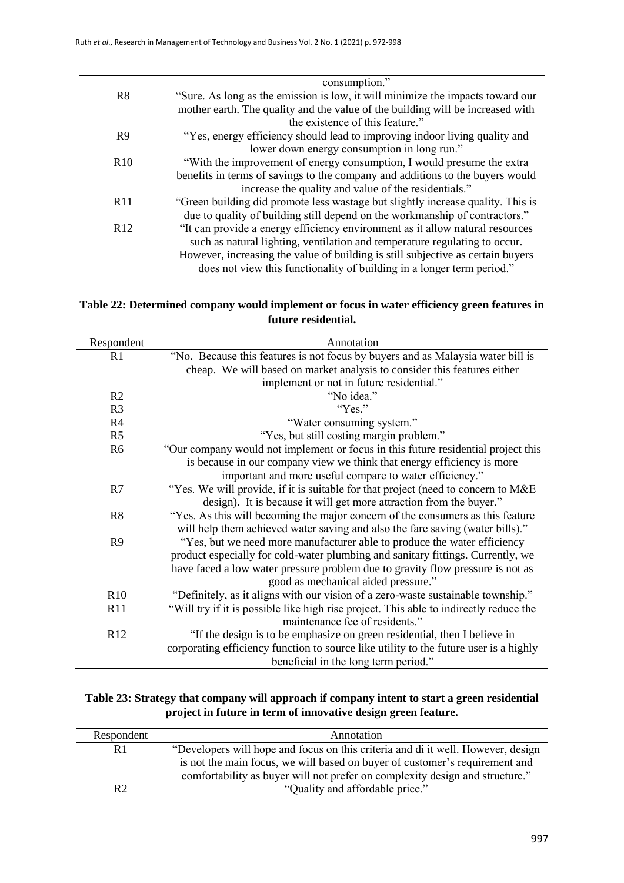|                 | consumption."                                                                   |
|-----------------|---------------------------------------------------------------------------------|
| R8              | "Sure. As long as the emission is low, it will minimize the impacts toward our  |
|                 | mother earth. The quality and the value of the building will be increased with  |
|                 | the existence of this feature."                                                 |
| R <sub>9</sub>  | "Yes, energy efficiency should lead to improving indoor living quality and      |
|                 | lower down energy consumption in long run."                                     |
| R10             | "With the improvement of energy consumption, I would presume the extra          |
|                 | benefits in terms of savings to the company and additions to the buyers would   |
|                 | increase the quality and value of the residentials."                            |
| R11             | "Green building did promote less wastage but slightly increase quality. This is |
|                 | due to quality of building still depend on the workmanship of contractors."     |
| R <sub>12</sub> | "It can provide a energy efficiency environment as it allow natural resources   |
|                 | such as natural lighting, ventilation and temperature regulating to occur.      |
|                 | However, increasing the value of building is still subjective as certain buyers |
|                 | does not view this functionality of building in a longer term period."          |

## **Table 22: Determined company would implement or focus in water efficiency green features in future residential.**

| Respondent     | Annotation                                                                             |
|----------------|----------------------------------------------------------------------------------------|
| R1             | "No. Because this features is not focus by buyers and as Malaysia water bill is        |
|                | cheap. We will based on market analysis to consider this features either               |
|                | implement or not in future residential."                                               |
| R2             | "No idea."                                                                             |
| R <sub>3</sub> | "Yes."                                                                                 |
| R <sub>4</sub> | "Water consuming system."                                                              |
| R <sub>5</sub> | "Yes, but still costing margin problem."                                               |
| R <sub>6</sub> | "Our company would not implement or focus in this future residential project this      |
|                | is because in our company view we think that energy efficiency is more                 |
|                | important and more useful compare to water efficiency."                                |
| R7             | "Yes. We will provide, if it is suitable for that project (need to concern to M&E      |
|                | design). It is because it will get more attraction from the buyer."                    |
| R <sub>8</sub> | "Yes. As this will becoming the major concern of the consumers as this feature         |
|                | will help them achieved water saving and also the fare saving (water bills)."          |
| R <sub>9</sub> | "Yes, but we need more manufacturer able to produce the water efficiency               |
|                | product especially for cold-water plumbing and sanitary fittings. Currently, we        |
|                | have faced a low water pressure problem due to gravity flow pressure is not as         |
|                | good as mechanical aided pressure."                                                    |
| R10            | "Definitely, as it aligns with our vision of a zero-waste sustainable township."       |
| R11            | "Will try if it is possible like high rise project. This able to indirectly reduce the |
|                | maintenance fee of residents."                                                         |
| R12            | "If the design is to be emphasize on green residential, then I believe in              |
|                | corporating efficiency function to source like utility to the future user is a highly  |
|                | beneficial in the long term period."                                                   |

## **Table 23: Strategy that company will approach if company intent to start a green residential project in future in term of innovative design green feature.**

| Respondent     | Annotation                                                                                                                                                      |
|----------------|-----------------------------------------------------------------------------------------------------------------------------------------------------------------|
| R <sub>1</sub> | "Developers will hope and focus on this criteria and di it well. However, design<br>is not the main focus, we will based on buyer of customer's requirement and |
| R2             | comfortability as buyer will not prefer on complexity design and structure."<br>"Quality and affordable price."                                                 |